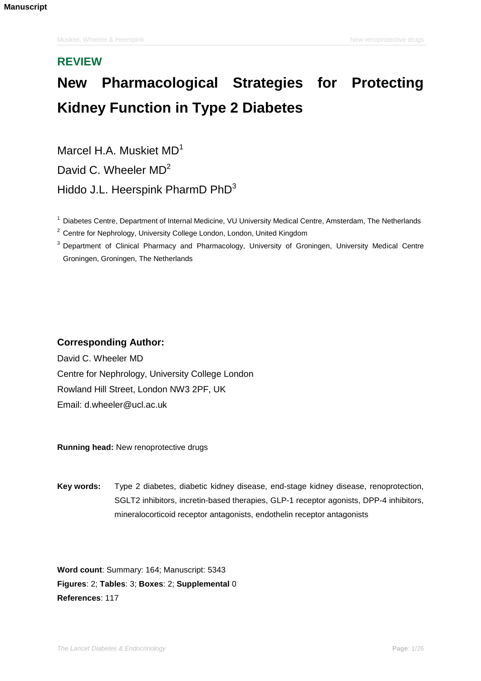# **REVIEW**

# **New Pharmacological Strategies for Protecting Kidney Function in Type 2 Diabetes**

Marcel H.A. Muskiet MD<sup>1</sup> David C. Wheeler MD<sup>2</sup> Hiddo J.L. Heerspink PharmD PhD<sup>3</sup>

<sup>1</sup> Diabetes Centre, Department of Internal Medicine, VU University Medical Centre, Amsterdam, The Netherlands

 $2$  Centre for Nephrology, University College London, London, United Kingdom

<sup>3</sup> Department of Clinical Pharmacy and Pharmacology, University of Groningen, University Medical Centre Groningen, Groningen, The Netherlands

# **Corresponding Author:**

David C. Wheeler MD Centre for Nephrology, University College London Rowland Hill Street, London NW3 2PF, UK Email: d.wheeler@ucl.ac.uk

**Running head:** New renoprotective drugs

**Key words:** Type 2 diabetes, diabetic kidney disease, end-stage kidney disease, renoprotection, SGLT2 inhibitors, incretin-based therapies, GLP-1 receptor agonists, DPP-4 inhibitors, mineralocorticoid receptor antagonists, endothelin receptor antagonists

**Word count**: Summary: 164; Manuscript: 5343 **Figures**: 2; **Tables**: 3; **Boxes**: 2; **Supplemental** 0 **References**: 117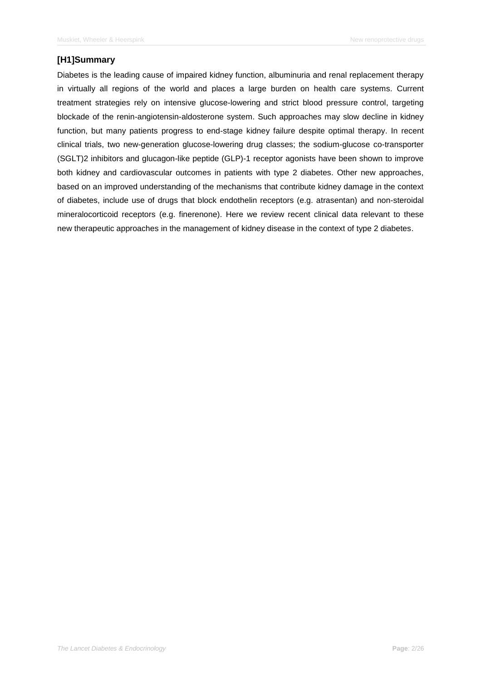# **[H1]Summary**

Diabetes is the leading cause of impaired kidney function, albuminuria and renal replacement therapy in virtually all regions of the world and places a large burden on health care systems. Current treatment strategies rely on intensive glucose-lowering and strict blood pressure control, targeting blockade of the renin-angiotensin-aldosterone system. Such approaches may slow decline in kidney function, but many patients progress to end-stage kidney failure despite optimal therapy. In recent clinical trials, two new-generation glucose-lowering drug classes; the sodium-glucose co-transporter (SGLT)2 inhibitors and glucagon-like peptide (GLP)-1 receptor agonists have been shown to improve both kidney and cardiovascular outcomes in patients with type 2 diabetes. Other new approaches, based on an improved understanding of the mechanisms that contribute kidney damage in the context of diabetes, include use of drugs that block endothelin receptors (e.g. atrasentan) and non-steroidal mineralocorticoid receptors (e.g. finerenone). Here we review recent clinical data relevant to these new therapeutic approaches in the management of kidney disease in the context of type 2 diabetes.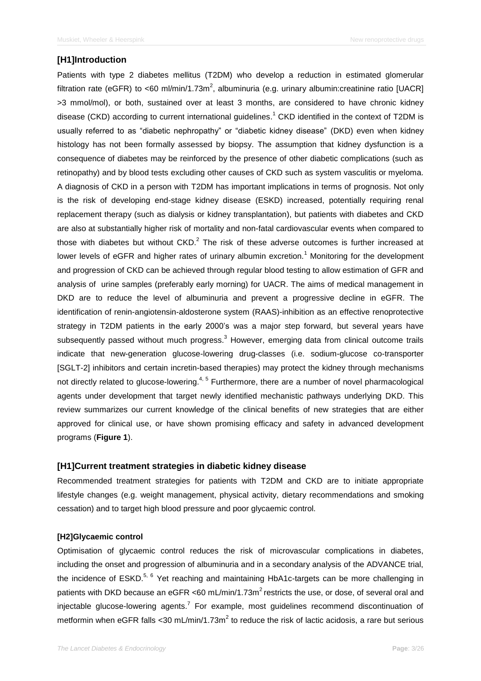## **[H1]Introduction**

Patients with type 2 diabetes mellitus (T2DM) who develop a reduction in estimated glomerular filtration rate (eGFR) to <60 ml/min/1.73m<sup>2</sup>, albuminuria (e.g. urinary albumin:creatinine ratio [UACR] >3 mmol/mol), or both, sustained over at least 3 months, are considered to have chronic kidney disease (CKD) according to current international guidelines. <sup>1</sup> CKD identified in the context of T2DM is usually referred to as "diabetic nephropathy" or "diabetic kidney disease" (DKD) even when kidney histology has not been formally assessed by biopsy. The assumption that kidney dysfunction is a consequence of diabetes may be reinforced by the presence of other diabetic complications (such as retinopathy) and by blood tests excluding other causes of CKD such as system vasculitis or myeloma. A diagnosis of CKD in a person with T2DM has important implications in terms of prognosis. Not only is the risk of developing end-stage kidney disease (ESKD) increased, potentially requiring renal replacement therapy (such as dialysis or kidney transplantation), but patients with diabetes and CKD are also at substantially higher risk of mortality and non-fatal cardiovascular events when compared to those with diabetes but without  $\text{CKD.}^2$  The risk of these adverse outcomes is further increased at lower levels of eGFR and higher rates of urinary albumin excretion.<sup>1</sup> Monitoring for the development and progression of CKD can be achieved through regular blood testing to allow estimation of GFR and analysis of urine samples (preferably early morning) for UACR. The aims of medical management in DKD are to reduce the level of albuminuria and prevent a progressive decline in eGFR. The identification of renin-angiotensin-aldosterone system (RAAS)-inhibition as an effective renoprotective strategy in T2DM patients in the early 2000's was a major step forward, but several years have subsequently passed without much progress.<sup>3</sup> However, emerging data from clinical outcome trails indicate that new-generation glucose-lowering drug-classes (i.e. sodium-glucose co-transporter [SGLT-2] inhibitors and certain incretin-based therapies) may protect the kidney through mechanisms not directly related to glucose-lowering.<sup>4, 5</sup> Furthermore, there are a number of novel pharmacological agents under development that target newly identified mechanistic pathways underlying DKD. This review summarizes our current knowledge of the clinical benefits of new strategies that are either approved for clinical use, or have shown promising efficacy and safety in advanced development programs (**Figure 1**).

## **[H1]Current treatment strategies in diabetic kidney disease**

Recommended treatment strategies for patients with T2DM and CKD are to initiate appropriate lifestyle changes (e.g. weight management, physical activity, dietary recommendations and smoking cessation) and to target high blood pressure and poor glycaemic control.

#### **[H2]Glycaemic control**

Optimisation of glycaemic control reduces the risk of microvascular complications in diabetes, including the onset and progression of albuminuria and in a secondary analysis of the ADVANCE trial, the incidence of  $ESKD<sup>5, 6</sup>$  Yet reaching and maintaining HbA1c-targets can be more challenging in patients with DKD because an eGFR <60 mL/min/1.73m<sup>2</sup> restricts the use, or dose, of several oral and injectable glucose-lowering agents.<sup>7</sup> For example, most guidelines recommend discontinuation of metformin when eGFR falls < 30 mL/min/1.73m<sup>2</sup> to reduce the risk of lactic acidosis, a rare but serious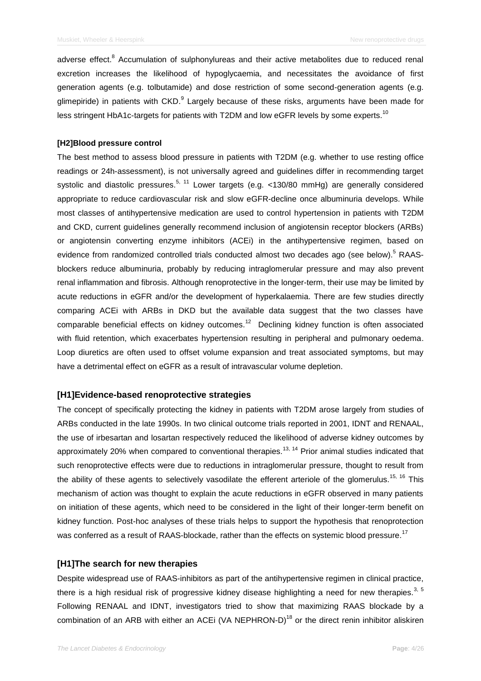adverse effect.<sup>8</sup> Accumulation of sulphonylureas and their active metabolites due to reduced renal excretion increases the likelihood of hypoglycaemia, and necessitates the avoidance of first generation agents (e.g. tolbutamide) and dose restriction of some second-generation agents (e.g. glimepiride) in patients with CKD. Largely because of these risks, arguments have been made for less stringent HbA1c-targets for patients with T2DM and low eGFR levels by some experts.<sup>10</sup>

## **[H2]Blood pressure control**

The best method to assess blood pressure in patients with T2DM (e.g. whether to use resting office readings or 24h-assessment), is not universally agreed and guidelines differ in recommending target systolic and diastolic pressures.<sup>5, 11</sup> Lower targets (e.g. <130/80 mmHg) are generally considered appropriate to reduce cardiovascular risk and slow eGFR-decline once albuminuria develops. While most classes of antihypertensive medication are used to control hypertension in patients with T2DM and CKD, current guidelines generally recommend inclusion of angiotensin receptor blockers (ARBs) or angiotensin converting enzyme inhibitors (ACEi) in the antihypertensive regimen, based on evidence from randomized controlled trials conducted almost two decades ago (see below).<sup>5</sup> RAASblockers reduce albuminuria, probably by reducing intraglomerular pressure and may also prevent renal inflammation and fibrosis. Although renoprotective in the longer-term, their use may be limited by acute reductions in eGFR and/or the development of hyperkalaemia. There are few studies directly comparing ACEi with ARBs in DKD but the available data suggest that the two classes have comparable beneficial effects on kidney outcomes.<sup>12</sup> Declining kidney function is often associated with fluid retention, which exacerbates hypertension resulting in peripheral and pulmonary oedema. Loop diuretics are often used to offset volume expansion and treat associated symptoms, but may have a detrimental effect on eGFR as a result of intravascular volume depletion.

## **[H1]Evidence-based renoprotective strategies**

The concept of specifically protecting the kidney in patients with T2DM arose largely from studies of ARBs conducted in the late 1990s. In two clinical outcome trials reported in 2001, IDNT and RENAAL, the use of irbesartan and losartan respectively reduced the likelihood of adverse kidney outcomes by approximately 20% when compared to conventional therapies.<sup>13, 14</sup> Prior animal studies indicated that such renoprotective effects were due to reductions in intraglomerular pressure, thought to result from the ability of these agents to selectively vasodilate the efferent arteriole of the glomerulus.<sup>15, 16</sup> This mechanism of action was thought to explain the acute reductions in eGFR observed in many patients on initiation of these agents, which need to be considered in the light of their longer-term benefit on kidney function. Post-hoc analyses of these trials helps to support the hypothesis that renoprotection was conferred as a result of RAAS-blockade, rather than the effects on systemic blood pressure.<sup>17</sup>

## **[H1]The search for new therapies**

Despite widespread use of RAAS-inhibitors as part of the antihypertensive regimen in clinical practice, there is a high residual risk of progressive kidney disease highlighting a need for new therapies.<sup>3, 5</sup> Following RENAAL and IDNT, investigators tried to show that maximizing RAAS blockade by a combination of an ARB with either an ACEi (VA NEPHRON-D)<sup>18</sup> or the direct renin inhibitor aliskiren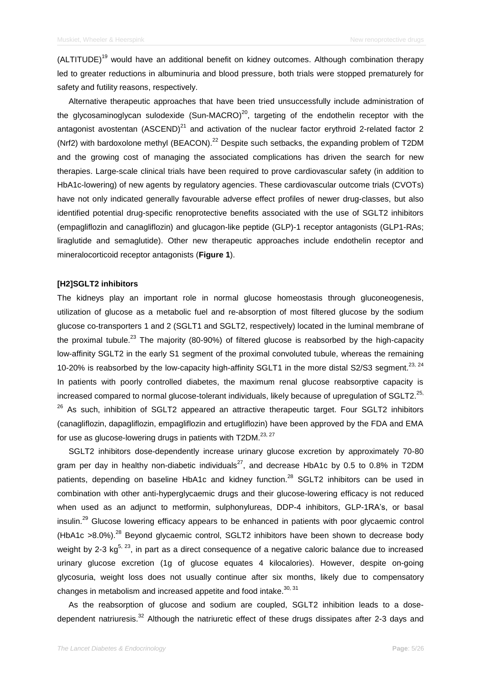$(ALTITUDE)<sup>19</sup>$  would have an additional benefit on kidney outcomes. Although combination therapy led to greater reductions in albuminuria and blood pressure, both trials were stopped prematurely for safety and futility reasons, respectively.

Alternative therapeutic approaches that have been tried unsuccessfully include administration of the glycosaminoglycan sulodexide (Sun-MACRO)<sup>20</sup>, targeting of the endothelin receptor with the antagonist avostentan (ASCEND)<sup>21</sup> and activation of the nuclear factor erythroid 2-related factor 2 (Nrf2) with bardoxolone methyl (BEACON).<sup>22</sup> Despite such setbacks, the expanding problem of T2DM and the growing cost of managing the associated complications has driven the search for new therapies. Large-scale clinical trials have been required to prove cardiovascular safety (in addition to HbA1c-lowering) of new agents by regulatory agencies. These cardiovascular outcome trials (CVOTs) have not only indicated generally favourable adverse effect profiles of newer drug-classes, but also identified potential drug-specific renoprotective benefits associated with the use of SGLT2 inhibitors (empagliflozin and canagliflozin) and glucagon-like peptide (GLP)-1 receptor antagonists (GLP1-RAs; liraglutide and semaglutide). Other new therapeutic approaches include endothelin receptor and mineralocorticoid receptor antagonists (**Figure 1**).

#### **[H2]SGLT2 inhibitors**

The kidneys play an important role in normal glucose homeostasis through gluconeogenesis, utilization of glucose as a metabolic fuel and re-absorption of most filtered glucose by the sodium glucose co-transporters 1 and 2 (SGLT1 and SGLT2, respectively) located in the luminal membrane of the proximal tubule.<sup>23</sup> The majority (80-90%) of filtered glucose is reabsorbed by the high-capacity low-affinity SGLT2 in the early S1 segment of the proximal convoluted tubule, whereas the remaining 10-20% is reabsorbed by the low-capacity high-affinity SGLT1 in the more distal S2/S3 segment.<sup>23, 24</sup> In patients with poorly controlled diabetes, the maximum renal glucose reabsorptive capacity is increased compared to normal glucose-tolerant individuals, likely because of upregulation of SGLT2. $^{25}$ ,  $26$  As such, inhibition of SGLT2 appeared an attractive therapeutic target. Four SGLT2 inhibitors (canagliflozin, dapagliflozin, empagliflozin and ertugliflozin) have been approved by the FDA and EMA for use as glucose-lowering drugs in patients with T2DM.<sup>23, 27</sup>

SGLT2 inhibitors dose-dependently increase urinary glucose excretion by approximately 70-80 gram per day in healthy non-diabetic individuals<sup>27</sup>, and decrease HbA1c by 0.5 to 0.8% in T2DM patients, depending on baseline HbA1c and kidney function.<sup>28</sup> SGLT2 inhibitors can be used in combination with other anti-hyperglycaemic drugs and their glucose-lowering efficacy is not reduced when used as an adjunct to metformin, sulphonylureas, DDP-4 inhibitors, GLP-1RA's, or basal insulin.<sup>29</sup> Glucose lowering efficacy appears to be enhanced in patients with poor glycaemic control (HbA1c  $>8.0\%$ ).<sup>28</sup> Beyond glycaemic control, SGLT2 inhibitors have been shown to decrease body weight by 2-3 kg<sup>5, 23</sup>, in part as a direct consequence of a negative caloric balance due to increased urinary glucose excretion (1g of glucose equates 4 kilocalories). However, despite on-going glycosuria, weight loss does not usually continue after six months, likely due to compensatory changes in metabolism and increased appetite and food intake. $30, 31$ 

As the reabsorption of glucose and sodium are coupled, SGLT2 inhibition leads to a dosedependent natriuresis.<sup>32</sup> Although the natriuretic effect of these drugs dissipates after 2-3 days and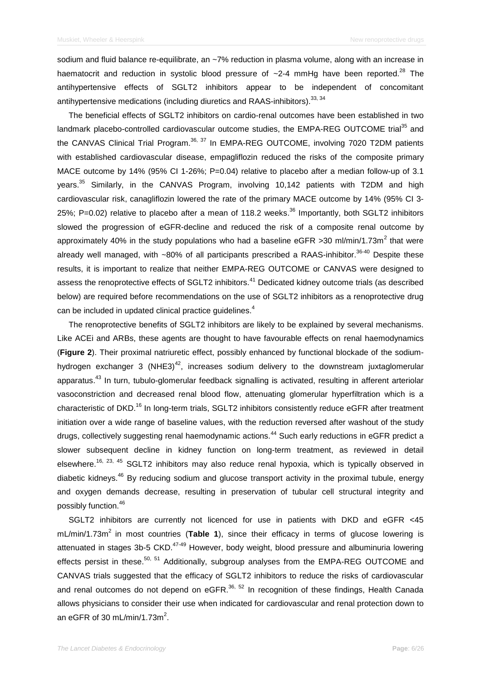sodium and fluid balance re-equilibrate, an ~7% reduction in plasma volume, along with an increase in haematocrit and reduction in systolic blood pressure of ~2-4 mmHg have been reported.<sup>28</sup> The antihypertensive effects of SGLT2 inhibitors appear to be independent of concomitant antihypertensive medications (including diuretics and RAAS-inhibitors).<sup>33, 34</sup>

The beneficial effects of SGLT2 inhibitors on cardio-renal outcomes have been established in two landmark placebo-controlled cardiovascular outcome studies, the EMPA-REG OUTCOME trial<sup>35</sup> and the CANVAS Clinical Trial Program.<sup>36, 37</sup> In EMPA-REG OUTCOME, involving 7020 T2DM patients with established cardiovascular disease, empagliflozin reduced the risks of the composite primary MACE outcome by 14% (95% CI 1-26%; P=0.04) relative to placebo after a median follow-up of 3.1 years.<sup>35</sup> Similarly, in the CANVAS Program, involving 10,142 patients with T2DM and high cardiovascular risk, canagliflozin lowered the rate of the primary MACE outcome by 14% (95% CI 3- 25%; P=0.02) relative to placebo after a mean of 118.2 weeks.<sup>36</sup> Importantly, both SGLT2 inhibitors slowed the progression of eGFR-decline and reduced the risk of a composite renal outcome by approximately 40% in the study populations who had a baseline eGFR >30 ml/min/1.73m<sup>2</sup> that were already well managed, with ~80% of all participants prescribed a RAAS-inhibitor.<sup>36-40</sup> Despite these results, it is important to realize that neither EMPA-REG OUTCOME or CANVAS were designed to assess the renoprotective effects of SGLT2 inhibitors.<sup>41</sup> Dedicated kidney outcome trials (as described below) are required before recommendations on the use of SGLT2 inhibitors as a renoprotective drug can be included in updated clinical practice guidelines.<sup>4</sup>

The renoprotective benefits of SGLT2 inhibitors are likely to be explained by several mechanisms. Like ACEi and ARBs, these agents are thought to have favourable effects on renal haemodynamics (**Figure 2**). Their proximal natriuretic effect, possibly enhanced by functional blockade of the sodiumhydrogen exchanger 3 (NHE3)<sup>42</sup>, increases sodium delivery to the downstream juxtaglomerular apparatus.<sup>43</sup> In turn, tubulo-glomerular feedback signalling is activated, resulting in afferent arteriolar vasoconstriction and decreased renal blood flow, attenuating glomerular hyperfiltration which is a characteristic of DKD.<sup>16</sup> In long-term trials, SGLT2 inhibitors consistently reduce eGFR after treatment initiation over a wide range of baseline values, with the reduction reversed after washout of the study drugs, collectively suggesting renal haemodynamic actions.<sup>44</sup> Such early reductions in eGFR predict a slower subsequent decline in kidney function on long-term treatment, as reviewed in detail elsewhere.<sup>16, 23, 45</sup> SGLT2 inhibitors may also reduce renal hypoxia, which is typically observed in diabetic kidneys.<sup>46</sup> By reducing sodium and glucose transport activity in the proximal tubule, energy and oxygen demands decrease, resulting in preservation of tubular cell structural integrity and possibly function.<sup>46</sup>

SGLT2 inhibitors are currently not licenced for use in patients with DKD and eGFR <45 mL/min/1.73m<sup>2</sup> in most countries (Table 1), since their efficacy in terms of glucose lowering is attenuated in stages 3b-5 CKD.<sup>47-49</sup> However, body weight, blood pressure and albuminuria lowering effects persist in these.<sup>50, 51</sup> Additionally, subgroup analyses from the EMPA-REG OUTCOME and CANVAS trials suggested that the efficacy of SGLT2 inhibitors to reduce the risks of cardiovascular and renal outcomes do not depend on eGFR. $^{36, 52}$  In recognition of these findings, Health Canada allows physicians to consider their use when indicated for cardiovascular and renal protection down to an eGFR of 30 mL/min/1.73m<sup>2</sup>.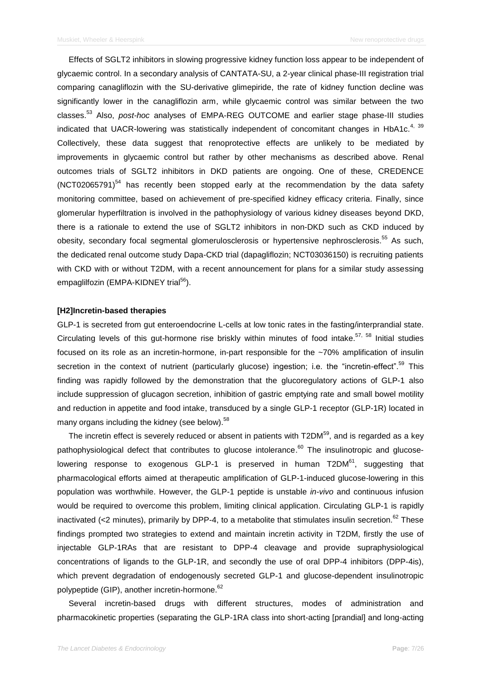Effects of SGLT2 inhibitors in slowing progressive kidney function loss appear to be independent of glycaemic control. In a secondary analysis of CANTATA-SU, a 2-year clinical phase-III registration trial comparing canagliflozin with the SU-derivative glimepiride, the rate of kidney function decline was significantly lower in the canagliflozin arm, while glycaemic control was similar between the two classes. <sup>53</sup> Also, *post-hoc* analyses of EMPA-REG OUTCOME and earlier stage phase-III studies indicated that UACR-lowering was statistically independent of concomitant changes in HbA1c.<sup>4, 39</sup> Collectively, these data suggest that renoprotective effects are unlikely to be mediated by improvements in glycaemic control but rather by other mechanisms as described above. Renal outcomes trials of SGLT2 inhibitors in DKD patients are ongoing. One of these, CREDENCE  $(NOT02065791)^{54}$  has recently been stopped early at the recommendation by the data safety monitoring committee, based on achievement of pre-specified kidney efficacy criteria. Finally, since glomerular hyperfiltration is involved in the pathophysiology of various kidney diseases beyond DKD, there is a rationale to extend the use of SGLT2 inhibitors in non-DKD such as CKD induced by obesity, secondary focal segmental glomerulosclerosis or hypertensive nephrosclerosis.<sup>55</sup> As such, the dedicated renal outcome study Dapa-CKD trial (dapagliflozin; NCT03036150) is recruiting patients with CKD with or without T2DM, with a recent announcement for plans for a similar study assessing empaglilfozin (EMPA-KIDNEY trial<sup>56</sup>).

#### **[H2]Incretin-based therapies**

GLP-1 is secreted from gut enteroendocrine L-cells at low tonic rates in the fasting/interprandial state. Circulating levels of this gut-hormone rise briskly within minutes of food intake.<sup>57, 58</sup> Initial studies focused on its role as an incretin-hormone, in-part responsible for the ~70% amplification of insulin secretion in the context of nutrient (particularly glucose) ingestion; i.e. the "incretin-effect".<sup>59</sup> This finding was rapidly followed by the demonstration that the glucoregulatory actions of GLP-1 also include suppression of glucagon secretion, inhibition of gastric emptying rate and small bowel motility and reduction in appetite and food intake, transduced by a single GLP-1 receptor (GLP-1R) located in many organs including the kidney (see below).<sup>58</sup>

The incretin effect is severely reduced or absent in patients with T2DM $^{59}$ , and is regarded as a key pathophysiological defect that contributes to glucose intolerance.<sup>60</sup> The insulinotropic and glucoselowering response to exogenous GLP-1 is preserved in human T2DM<sup>61</sup>, suggesting that pharmacological efforts aimed at therapeutic amplification of GLP-1-induced glucose-lowering in this population was worthwhile. However, the GLP-1 peptide is unstable *in-vivo* and continuous infusion would be required to overcome this problem, limiting clinical application. Circulating GLP-1 is rapidly inactivated (<2 minutes), primarily by DPP-4, to a metabolite that stimulates insulin secretion.<sup>62</sup> These findings prompted two strategies to extend and maintain incretin activity in T2DM, firstly the use of injectable GLP-1RAs that are resistant to DPP-4 cleavage and provide supraphysiological concentrations of ligands to the GLP-1R, and secondly the use of oral DPP-4 inhibitors (DPP-4is), which prevent degradation of endogenously secreted GLP-1 and glucose-dependent insulinotropic polypeptide (GIP), another incretin-hormone. 62

Several incretin-based drugs with different structures, modes of administration and pharmacokinetic properties (separating the GLP-1RA class into short-acting [prandial] and long-acting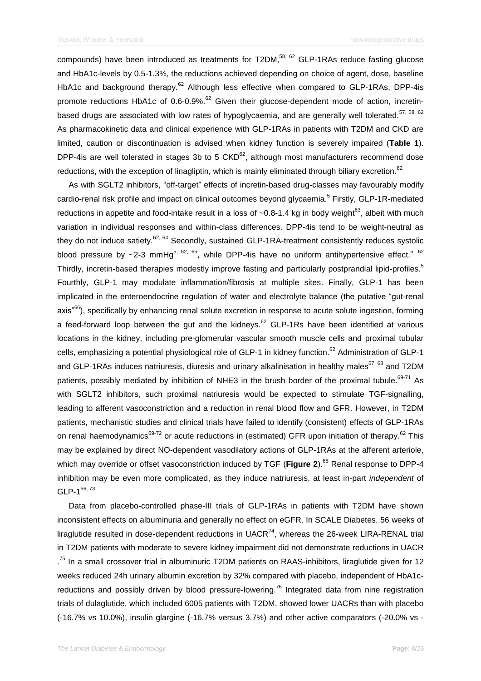compounds) have been introduced as treatments for T2DM,<sup>58, 62</sup> GLP-1RAs reduce fasting glucose and HbA1c-levels by 0.5-1.3%, the reductions achieved depending on choice of agent, dose, baseline HbA1c and background therapy.<sup>62</sup> Although less effective when compared to GLP-1RAs, DPP-4is promote reductions HbA1c of  $0.6$ -0.9%.<sup>62</sup> Given their glucose-dependent mode of action, incretinbased drugs are associated with low rates of hypoglycaemia, and are generally well tolerated.<sup>57, 58, 62</sup> As pharmacokinetic data and clinical experience with GLP-1RAs in patients with T2DM and CKD are limited, caution or discontinuation is advised when kidney function is severely impaired (**Table 1**). DPP-4is are well tolerated in stages 3b to 5  $CKD^{62}$ , although most manufacturers recommend dose reductions, with the exception of linagliptin, which is mainly eliminated through biliary excretion.<sup>62</sup>

As with SGLT2 inhibitors, "off-target" effects of incretin-based drug-classes may favourably modify cardio-renal risk profile and impact on clinical outcomes beyond glycaemia.<sup>5</sup> Firstly, GLP-1R-mediated reductions in appetite and food-intake result in a loss of ~0.8-1.4 kg in body weight<sup>63</sup>, albeit with much variation in individual responses and within-class differences. DPP-4is tend to be weight-neutral as they do not induce satiety.<sup>62, 64</sup> Secondly, sustained GLP-1RA-treatment consistently reduces systolic blood pressure by  $\sim$ 2-3 mmHg<sup>5, 62, 65</sup>, while DPP-4is have no uniform antihypertensive effect.<sup>5, 62</sup> Thirdly, incretin-based therapies modestly improve fasting and particularly postprandial lipid-profiles.<sup>5</sup> Fourthly, GLP-1 may modulate inflammation/fibrosis at multiple sites. Finally, GLP-1 has been implicated in the enteroendocrine regulation of water and electrolyte balance (the putative "gut-renal axis<sup>"66</sup>), specifically by enhancing renal solute excretion in response to acute solute ingestion, forming a feed-forward loop between the gut and the kidneys.<sup>62</sup> GLP-1Rs have been identified at various locations in the kidney, including pre-glomerular vascular smooth muscle cells and proximal tubular cells, emphasizing a potential physiological role of GLP-1 in kidney function.<sup>62</sup> Administration of GLP-1 and GLP-1RAs induces natriuresis, diuresis and urinary alkalinisation in healthy males<sup>67, 68</sup> and T2DM patients, possibly mediated by inhibition of NHE3 in the brush border of the proximal tubule.<sup>69-71</sup> As with SGLT2 inhibitors, such proximal natriuresis would be expected to stimulate TGF-signalling, leading to afferent vasoconstriction and a reduction in renal blood flow and GFR. However, in T2DM patients, mechanistic studies and clinical trials have failed to identify (consistent) effects of GLP-1RAs on renal haemodynamics<sup>69-72</sup> or acute reductions in (estimated) GFR upon initiation of therapy.<sup>62</sup> This may be explained by direct NO-dependent vasodilatory actions of GLP-1RAs at the afferent arteriole, which may override or offset vasoconstriction induced by TGF (**Figure 2**). <sup>68</sup> Renal response to DPP-4 inhibition may be even more complicated, as they induce natriuresis, at least in-part *independent* of  $GLP-1^{66, 73}$ 

Data from placebo-controlled phase-III trials of GLP-1RAs in patients with T2DM have shown inconsistent effects on albuminuria and generally no effect on eGFR. In SCALE Diabetes, 56 weeks of liraglutide resulted in dose-dependent reductions in UACR $^{74}$ , whereas the 26-week LIRA-RENAL trial in T2DM patients with moderate to severe kidney impairment did not demonstrate reductions in UACR <sup>75</sup> In a small crossover trial in albuminuric T2DM patients on RAAS-inhibitors, liraglutide given for 12 weeks reduced 24h urinary albumin excretion by 32% compared with placebo, independent of HbA1creductions and possibly driven by blood pressure-lowering.<sup>76</sup> Integrated data from nine registration trials of dulaglutide, which included 6005 patients with T2DM, showed lower UACRs than with placebo (-16.7% vs 10.0%), insulin glargine (-16.7% versus 3.7%) and other active comparators (-20.0% vs -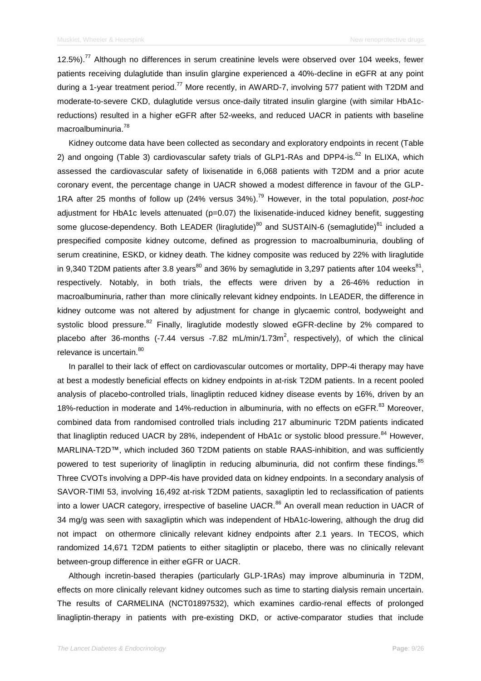12.5%).<sup>77</sup> Although no differences in serum creatinine levels were observed over 104 weeks, fewer patients receiving dulaglutide than insulin glargine experienced a 40%-decline in eGFR at any point during a 1-year treatment period.<sup>77</sup> More recently, in AWARD-7, involving 577 patient with T2DM and moderate-to-severe CKD, dulaglutide versus once-daily titrated insulin glargine (with similar HbA1creductions) resulted in a higher eGFR after 52-weeks, and reduced UACR in patients with baseline macroalbuminuria.<sup>78</sup>

Kidney outcome data have been collected as secondary and exploratory endpoints in recent (Table 2) and ongoing (Table 3) cardiovascular safety trials of GLP1-RAs and DPP4-is.<sup>62</sup> In ELIXA, which assessed the cardiovascular safety of lixisenatide in 6,068 patients with T2DM and a prior acute coronary event, the percentage change in UACR showed a modest difference in favour of the GLP-1RA after 25 months of follow up (24% versus 34%). <sup>79</sup> However, in the total population, *post-hoc* adjustment for HbA1c levels attenuated (p=0.07) the lixisenatide-induced kidney benefit, suggesting some glucose-dependency. Both LEADER (liraglutide)<sup>80</sup> and SUSTAIN-6 (semaglutide)<sup>81</sup> included a prespecified composite kidney outcome, defined as progression to macroalbuminuria, doubling of serum creatinine, ESKD, or kidney death. The kidney composite was reduced by 22% with liraglutide in 9,340 T2DM patients after 3.8 years<sup>80</sup> and 36% by semaglutide in 3,297 patients after 104 weeks<sup>81</sup>, respectively. Notably, in both trials, the effects were driven by a 26-46% reduction in macroalbuminuria, rather than more clinically relevant kidney endpoints. In LEADER, the difference in kidney outcome was not altered by adjustment for change in glycaemic control, bodyweight and systolic blood pressure.<sup>82</sup> Finally, liraglutide modestly slowed eGFR-decline by 2% compared to placebo after 36-months (-7.44 versus -7.82 mL/min/1.73m<sup>2</sup>, respectively), of which the clinical relevance is uncertain.<sup>80</sup>

In parallel to their lack of effect on cardiovascular outcomes or mortality, DPP-4i therapy may have at best a modestly beneficial effects on kidney endpoints in at-risk T2DM patients. In a recent pooled analysis of placebo-controlled trials, linagliptin reduced kidney disease events by 16%, driven by an 18%-reduction in moderate and 14%-reduction in albuminuria, with no effects on eGFR.<sup>83</sup> Moreover, combined data from randomised controlled trials including 217 albuminuric T2DM patients indicated that linagliptin reduced UACR by 28%, independent of HbA1c or systolic blood pressure.<sup>84</sup> However, MARLINA-T2D™, which included 360 T2DM patients on stable RAAS-inhibition, and was sufficiently powered to test superiority of linagliptin in reducing albuminuria, did not confirm these findings.<sup>85</sup> Three CVOTs involving a DPP-4is have provided data on kidney endpoints. In a secondary analysis of SAVOR-TIMI 53, involving 16,492 at-risk T2DM patients, saxagliptin led to reclassification of patients into a lower UACR category, irrespective of baseline UACR.<sup>86</sup> An overall mean reduction in UACR of 34 mg/g was seen with saxagliptin which was independent of HbA1c-lowering, although the drug did not impact on othermore clinically relevant kidney endpoints after 2.1 years. In TECOS, which randomized 14,671 T2DM patients to either sitagliptin or placebo, there was no clinically relevant between-group difference in either eGFR or UACR.

Although incretin-based therapies (particularly GLP-1RAs) may improve albuminuria in T2DM, effects on more clinically relevant kidney outcomes such as time to starting dialysis remain uncertain. The results of CARMELINA (NCT01897532), which examines cardio-renal effects of prolonged linagliptin-therapy in patients with pre-existing DKD, or active-comparator studies that include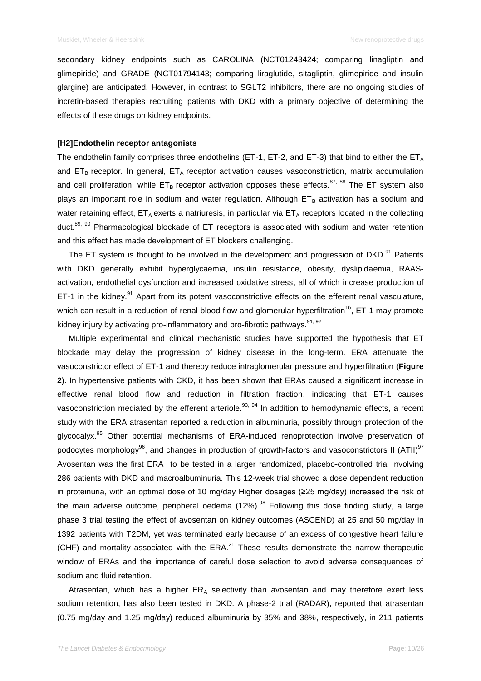secondary kidney endpoints such as CAROLINA (NCT01243424; comparing linagliptin and glimepiride) and GRADE (NCT01794143; comparing liraglutide, sitagliptin, glimepiride and insulin glargine) are anticipated. However, in contrast to SGLT2 inhibitors, there are no ongoing studies of incretin-based therapies recruiting patients with DKD with a primary objective of determining the effects of these drugs on kidney endpoints.

#### **[H2]Endothelin receptor antagonists**

The endothelin family comprises three endothelins (ET-1, ET-2, and ET-3) that bind to either the  $ET_A$ and  $ET_B$  receptor. In general,  $ET_A$  receptor activation causes vasoconstriction, matrix accumulation and cell proliferation, while  $ET_B$  receptor activation opposes these effects.<sup>87, 88</sup> The ET system also plays an important role in sodium and water regulation. Although  $ET_B$  activation has a sodium and water retaining effect,  $ET_A$  exerts a natriuresis, in particular via  $ET_A$  receptors located in the collecting duct.<sup>89, 90</sup> Pharmacological blockade of ET receptors is associated with sodium and water retention and this effect has made development of ET blockers challenging.

The ET system is thought to be involved in the development and progression of DKD.<sup>91</sup> Patients with DKD generally exhibit hyperglycaemia, insulin resistance, obesity, dyslipidaemia, RAASactivation, endothelial dysfunction and increased oxidative stress, all of which increase production of ET-1 in the kidney.<sup>91</sup> Apart from its potent vasoconstrictive effects on the efferent renal vasculature, which can result in a reduction of renal blood flow and glomerular hyperfiltration<sup>16</sup>, ET-1 may promote kidney injury by activating pro-inflammatory and pro-fibrotic pathways.<sup>91, 92</sup>

Multiple experimental and clinical mechanistic studies have supported the hypothesis that ET blockade may delay the progression of kidney disease in the long-term. ERA attenuate the vasoconstrictor effect of ET-1 and thereby reduce intraglomerular pressure and hyperfiltration (**Figure 2**). In hypertensive patients with CKD, it has been shown that ERAs caused a significant increase in effective renal blood flow and reduction in filtration fraction, indicating that ET-1 causes vasoconstriction mediated by the efferent arteriole.<sup>93, 94</sup> In addition to hemodynamic effects, a recent study with the ERA atrasentan reported a reduction in albuminuria, possibly through protection of the glycocalyx.<sup>95</sup> Other potential mechanisms of ERA-induced renoprotection involve preservation of podocytes morphology<sup>96</sup>, and changes in production of growth-factors and vasoconstrictors II (ATII)<sup>97</sup> Avosentan was the first ERA to be tested in a larger randomized, placebo-controlled trial involving 286 patients with DKD and macroalbuminuria. This 12-week trial showed a dose dependent reduction in proteinuria, with an optimal dose of 10 mg/day Higher dosages (≥25 mg/day) increased the risk of the main adverse outcome, peripheral oedema (12%).<sup>98</sup> Following this dose finding study, a large phase 3 trial testing the effect of avosentan on kidney outcomes (ASCEND) at 25 and 50 mg/day in 1392 patients with T2DM, yet was terminated early because of an excess of congestive heart failure (CHF) and mortality associated with the  $ERA<sup>21</sup>$  These results demonstrate the narrow therapeutic window of ERAs and the importance of careful dose selection to avoid adverse consequences of sodium and fluid retention.

Atrasentan, which has a higher  $ER<sub>A</sub>$  selectivity than avosentan and may therefore exert less sodium retention, has also been tested in DKD. A phase-2 trial (RADAR), reported that atrasentan (0.75 mg/day and 1.25 mg/day) reduced albuminuria by 35% and 38%, respectively, in 211 patients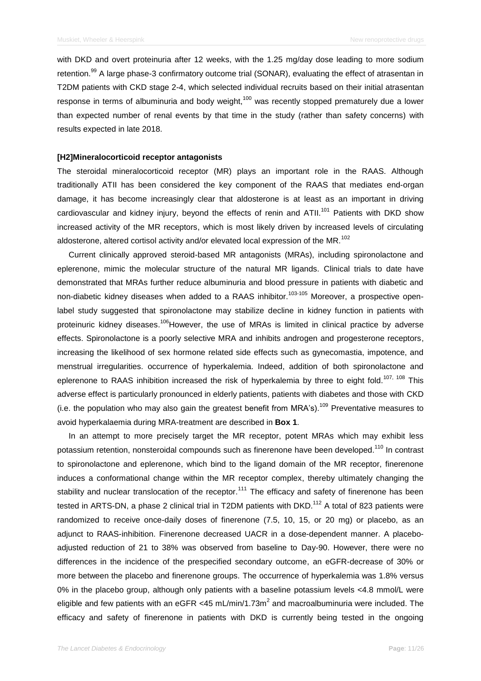with DKD and overt proteinuria after 12 weeks, with the 1.25 mg/day dose leading to more sodium retention.<sup>99</sup> A large phase-3 confirmatory outcome trial (SONAR), evaluating the effect of atrasentan in T2DM patients with CKD stage 2-4, which selected individual recruits based on their initial atrasentan response in terms of albuminuria and body weight, $100$  was recently stopped prematurely due a lower than expected number of renal events by that time in the study (rather than safety concerns) with results expected in late 2018.

#### **[H2]Mineralocorticoid receptor antagonists**

The steroidal mineralocorticoid receptor (MR) plays an important role in the RAAS. Although traditionally ATII has been considered the key component of the RAAS that mediates end-organ damage, it has become increasingly clear that aldosterone is at least as an important in driving cardiovascular and kidney injury, beyond the effects of renin and ATII.<sup>101</sup> Patients with DKD show increased activity of the MR receptors, which is most likely driven by increased levels of circulating aldosterone, altered cortisol activity and/or elevated local expression of the MR.<sup>102</sup>

Current clinically approved steroid-based MR antagonists (MRAs), including spironolactone and eplerenone, mimic the molecular structure of the natural MR ligands. Clinical trials to date have demonstrated that MRAs further reduce albuminuria and blood pressure in patients with diabetic and non-diabetic kidney diseases when added to a RAAS inhibitor.<sup>103-105</sup> Moreover, a prospective openlabel study suggested that spironolactone may stabilize decline in kidney function in patients with proteinuric kidney diseases.<sup>106</sup>However, the use of MRAs is limited in clinical practice by adverse effects. Spironolactone is a poorly selective MRA and inhibits androgen and progesterone receptors, increasing the likelihood of sex hormone related side effects such as gynecomastia, impotence, and menstrual irregularities. occurrence of hyperkalemia. Indeed, addition of both spironolactone and eplerenone to RAAS inhibition increased the risk of hyperkalemia by three to eight fold.<sup>107, 108</sup> This adverse effect is particularly pronounced in elderly patients, patients with diabetes and those with CKD (i.e. the population who may also gain the greatest benefit from MRA's).<sup>109</sup> Preventative measures to avoid hyperkalaemia during MRA-treatment are described in **Box 1**.

In an attempt to more precisely target the MR receptor, potent MRAs which may exhibit less potassium retention, nonsteroidal compounds such as finerenone have been developed.<sup>110</sup> In contrast to spironolactone and eplerenone, which bind to the ligand domain of the MR receptor, finerenone induces a conformational change within the MR receptor complex, thereby ultimately changing the stability and nuclear translocation of the receptor.<sup>111</sup> The efficacy and safety of finerenone has been tested in ARTS-DN, a phase 2 clinical trial in T2DM patients with DKD.<sup>112</sup> A total of 823 patients were randomized to receive once-daily doses of finerenone (7.5, 10, 15, or 20 mg) or placebo, as an adjunct to RAAS-inhibition. Finerenone decreased UACR in a dose-dependent manner. A placeboadjusted reduction of 21 to 38% was observed from baseline to Day-90. However, there were no differences in the incidence of the prespecified secondary outcome, an eGFR-decrease of 30% or more between the placebo and finerenone groups. The occurrence of hyperkalemia was 1.8% versus 0% in the placebo group, although only patients with a baseline potassium levels <4.8 mmol/L were eligible and few patients with an eGFR <45 mL/min/1.73m<sup>2</sup> and macroalbuminuria were included. The efficacy and safety of finerenone in patients with DKD is currently being tested in the ongoing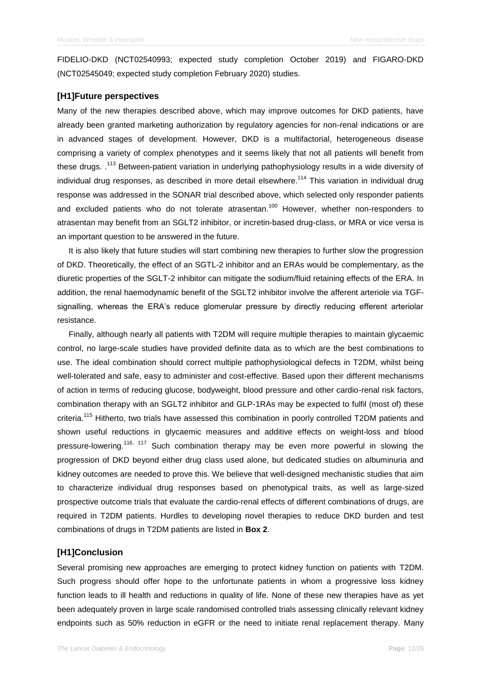FIDELIO-DKD (NCT02540993; expected study completion October 2019) and FIGARO-DKD (NCT02545049; expected study completion February 2020) studies.

## **[H1]Future perspectives**

Many of the new therapies described above, which may improve outcomes for DKD patients, have already been granted marketing authorization by regulatory agencies for non-renal indications or are in advanced stages of development. However, DKD is a multifactorial, heterogeneous disease comprising a variety of complex phenotypes and it seems likely that not all patients will benefit from these drugs. .<sup>113</sup> Between-patient variation in underlying pathophysiology results in a wide diversity of individual drug responses, as described in more detail elsewhere.<sup>114</sup> This variation in individual drug response was addressed in the SONAR trial described above, which selected only responder patients and excluded patients who do not tolerate atrasentan.<sup>100</sup> However, whether non-responders to atrasentan may benefit from an SGLT2 inhibitor, or incretin-based drug-class, or MRA or vice versa is an important question to be answered in the future.

It is also likely that future studies will start combining new therapies to further slow the progression of DKD. Theoretically, the effect of an SGTL-2 inhibitor and an ERAs would be complementary, as the diuretic properties of the SGLT-2 inhibitor can mitigate the sodium/fluid retaining effects of the ERA. In addition, the renal haemodynamic benefit of the SGLT2 inhibitor involve the afferent arteriole via TGFsignalling, whereas the ERA's reduce glomerular pressure by directly reducing efferent arteriolar resistance.

Finally, although nearly all patients with T2DM will require multiple therapies to maintain glycaemic control, no large-scale studies have provided definite data as to which are the best combinations to use. The ideal combination should correct multiple pathophysiological defects in T2DM, whilst being well-tolerated and safe, easy to administer and cost-effective. Based upon their different mechanisms of action in terms of reducing glucose, bodyweight, blood pressure and other cardio-renal risk factors, combination therapy with an SGLT2 inhibitor and GLP-1RAs may be expected to fulfil (most of) these criteria.<sup>115</sup> Hitherto, two trials have assessed this combination in poorly controlled T2DM patients and shown useful reductions in glycaemic measures and additive effects on weight-loss and blood pressure-lowering.<sup>116, 117</sup> Such combination therapy may be even more powerful in slowing the progression of DKD beyond either drug class used alone, but dedicated studies on albuminuria and kidney outcomes are needed to prove this. We believe that well-designed mechanistic studies that aim to characterize individual drug responses based on phenotypical traits, as well as large-sized prospective outcome trials that evaluate the cardio-renal effects of different combinations of drugs, are required in T2DM patients. Hurdles to developing novel therapies to reduce DKD burden and test combinations of drugs in T2DM patients are listed in **Box 2**.

#### **[H1]Conclusion**

Several promising new approaches are emerging to protect kidney function on patients with T2DM. Such progress should offer hope to the unfortunate patients in whom a progressive loss kidney function leads to ill health and reductions in quality of life. None of these new therapies have as yet been adequately proven in large scale randomised controlled trials assessing clinically relevant kidney endpoints such as 50% reduction in eGFR or the need to initiate renal replacement therapy. Many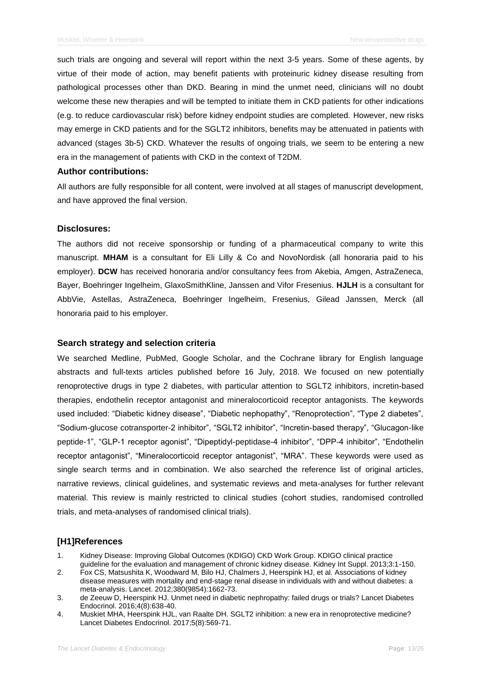such trials are ongoing and several will report within the next 3-5 years. Some of these agents, by virtue of their mode of action, may benefit patients with proteinuric kidney disease resulting from pathological processes other than DKD. Bearing in mind the unmet need, clinicians will no doubt welcome these new therapies and will be tempted to initiate them in CKD patients for other indications (e.g. to reduce cardiovascular risk) before kidney endpoint studies are completed. However, new risks may emerge in CKD patients and for the SGLT2 inhibitors, benefits may be attenuated in patients with advanced (stages 3b-5) CKD. Whatever the results of ongoing trials, we seem to be entering a new era in the management of patients with CKD in the context of T2DM.

#### **Author contributions:**

All authors are fully responsible for all content, were involved at all stages of manuscript development, and have approved the final version.

#### **Disclosures:**

The authors did not receive sponsorship or funding of a pharmaceutical company to write this manuscript. **MHAM** is a consultant for Eli Lilly & Co and NovoNordisk (all honoraria paid to his employer). **DCW** has received honoraria and/or consultancy fees from Akebia, Amgen, AstraZeneca, Bayer, Boehringer Ingelheim, GlaxoSmithKline, Janssen and Vifor Fresenius. **HJLH** is a consultant for AbbVie, Astellas, AstraZeneca, Boehringer Ingelheim, Fresenius, Gilead Janssen, Merck (all honoraria paid to his employer.

#### **Search strategy and selection criteria**

We searched Medline, PubMed, Google Scholar, and the Cochrane library for English language abstracts and full-texts articles published before 16 July, 2018. We focused on new potentially renoprotective drugs in type 2 diabetes, with particular attention to SGLT2 inhibitors, incretin-based therapies, endothelin receptor antagonist and mineralocorticoid receptor antagonists. The keywords used included: "Diabetic kidney disease", "Diabetic nephopathy", "Renoprotection", "Type 2 diabetes", "Sodium-glucose cotransporter-2 inhibitor", "SGLT2 inhibitor", "Incretin-based therapy", "Glucagon-like peptide-1", "GLP-1 receptor agonist", "Dipeptidyl-peptidase-4 inhibitor", "DPP-4 inhibitor", "Endothelin receptor antagonist", "Mineralocorticoid receptor antagonist", "MRA". These keywords were used as single search terms and in combination. We also searched the reference list of original articles, narrative reviews, clinical guidelines, and systematic reviews and meta-analyses for further relevant material. This review is mainly restricted to clinical studies (cohort studies, randomised controlled trials, and meta-analyses of randomised clinical trials).

#### **[H1]References**

- 1. Kidney Disease: Improving Global Outcomes (KDIGO) CKD Work Group. KDIGO clinical practice guideline for the evaluation and management of chronic kidney disease. Kidney Int Suppl. 2013;3:1-150.
- 2. Fox CS, Matsushita K, Woodward M, Bilo HJ, Chalmers J, Heerspink HJ, et al. Associations of kidney disease measures with mortality and end-stage renal disease in individuals with and without diabetes: a meta-analysis. Lancet. 2012;380(9854):1662-73.
- 3. de Zeeuw D, Heerspink HJ. Unmet need in diabetic nephropathy: failed drugs or trials? Lancet Diabetes Endocrinol. 2016;4(8):638-40.
- 4. Muskiet MHA, Heerspink HJL, van Raalte DH. SGLT2 inhibition: a new era in renoprotective medicine? Lancet Diabetes Endocrinol. 2017;5(8):569-71.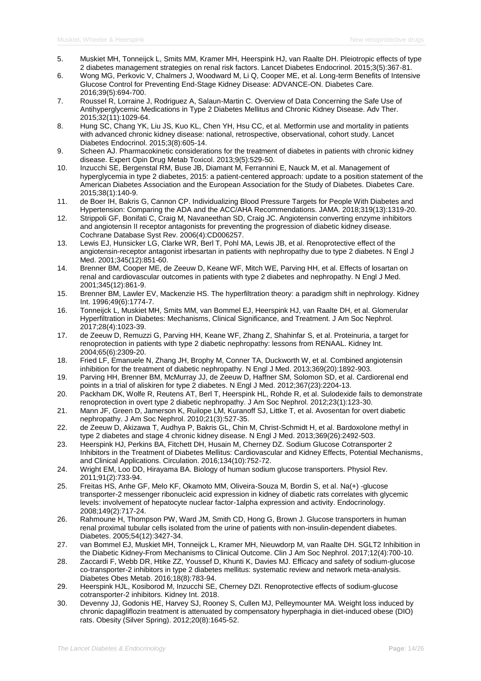- 5. Muskiet MH, Tonneijck L, Smits MM, Kramer MH, Heerspink HJ, van Raalte DH. Pleiotropic effects of type 2 diabetes management strategies on renal risk factors. Lancet Diabetes Endocrinol. 2015;3(5):367-81.
- 6. Wong MG, Perkovic V, Chalmers J, Woodward M, Li Q, Cooper ME, et al. Long-term Benefits of Intensive Glucose Control for Preventing End-Stage Kidney Disease: ADVANCE-ON. Diabetes Care. 2016;39(5):694-700.
- 7. Roussel R, Lorraine J, Rodriguez A, Salaun-Martin C. Overview of Data Concerning the Safe Use of Antihyperglycemic Medications in Type 2 Diabetes Mellitus and Chronic Kidney Disease. Adv Ther. 2015;32(11):1029-64.
- 8. Hung SC, Chang YK, Liu JS, Kuo KL, Chen YH, Hsu CC, et al. Metformin use and mortality in patients with advanced chronic kidney disease: national, retrospective, observational, cohort study. Lancet Diabetes Endocrinol. 2015;3(8):605-14.
- 9. Scheen AJ. Pharmacokinetic considerations for the treatment of diabetes in patients with chronic kidney disease. Expert Opin Drug Metab Toxicol. 2013;9(5):529-50.
- 10. Inzucchi SE, Bergenstal RM, Buse JB, Diamant M, Ferrannini E, Nauck M, et al. Management of hyperglycemia in type 2 diabetes, 2015: a patient-centered approach: update to a position statement of the American Diabetes Association and the European Association for the Study of Diabetes. Diabetes Care. 2015;38(1):140-9.
- 11. de Boer IH, Bakris G, Cannon CP. Individualizing Blood Pressure Targets for People With Diabetes and Hypertension: Comparing the ADA and the ACC/AHA Recommendations. JAMA. 2018;319(13):1319-20.
- 12. Strippoli GF, Bonifati C, Craig M, Navaneethan SD, Craig JC. Angiotensin converting enzyme inhibitors and angiotensin II receptor antagonists for preventing the progression of diabetic kidney disease. Cochrane Database Syst Rev. 2006(4):CD006257.
- 13. Lewis EJ, Hunsicker LG, Clarke WR, Berl T, Pohl MA, Lewis JB, et al. Renoprotective effect of the angiotensin-receptor antagonist irbesartan in patients with nephropathy due to type 2 diabetes. N Engl J Med. 2001;345(12):851-60.
- 14. Brenner BM, Cooper ME, de Zeeuw D, Keane WF, Mitch WE, Parving HH, et al. Effects of losartan on renal and cardiovascular outcomes in patients with type 2 diabetes and nephropathy. N Engl J Med. 2001;345(12):861-9.
- 15. Brenner BM, Lawler EV, Mackenzie HS. The hyperfiltration theory: a paradigm shift in nephrology. Kidney Int. 1996;49(6):1774-7.
- 16. Tonneijck L, Muskiet MH, Smits MM, van Bommel EJ, Heerspink HJ, van Raalte DH, et al. Glomerular Hyperfiltration in Diabetes: Mechanisms, Clinical Significance, and Treatment. J Am Soc Nephrol. 2017;28(4):1023-39.
- 17. de Zeeuw D, Remuzzi G, Parving HH, Keane WF, Zhang Z, Shahinfar S, et al. Proteinuria, a target for renoprotection in patients with type 2 diabetic nephropathy: lessons from RENAAL. Kidney Int. 2004;65(6):2309-20.
- 18. Fried LF, Emanuele N, Zhang JH, Brophy M, Conner TA, Duckworth W, et al. Combined angiotensin inhibition for the treatment of diabetic nephropathy. N Engl J Med. 2013;369(20):1892-903.
- 19. Parving HH, Brenner BM, McMurray JJ, de Zeeuw D, Haffner SM, Solomon SD, et al. Cardiorenal end points in a trial of aliskiren for type 2 diabetes. N Engl J Med. 2012;367(23):2204-13.
- 20. Packham DK, Wolfe R, Reutens AT, Berl T, Heerspink HL, Rohde R, et al. Sulodexide fails to demonstrate renoprotection in overt type 2 diabetic nephropathy. J Am Soc Nephrol. 2012;23(1):123-30.
- 21. Mann JF, Green D, Jamerson K, Ruilope LM, Kuranoff SJ, Littke T, et al. Avosentan for overt diabetic nephropathy. J Am Soc Nephrol. 2010;21(3):527-35.
- 22. de Zeeuw D, Akizawa T, Audhya P, Bakris GL, Chin M, Christ-Schmidt H, et al. Bardoxolone methyl in type 2 diabetes and stage 4 chronic kidney disease. N Engl J Med. 2013;369(26):2492-503.
- 23. Heerspink HJ, Perkins BA, Fitchett DH, Husain M, Cherney DZ. Sodium Glucose Cotransporter 2 Inhibitors in the Treatment of Diabetes Mellitus: Cardiovascular and Kidney Effects, Potential Mechanisms, and Clinical Applications. Circulation. 2016;134(10):752-72.
- 24. Wright EM, Loo DD, Hirayama BA. Biology of human sodium glucose transporters. Physiol Rev. 2011;91(2):733-94.
- 25. Freitas HS, Anhe GF, Melo KF, Okamoto MM, Oliveira-Souza M, Bordin S, et al. Na(+) -glucose transporter-2 messenger ribonucleic acid expression in kidney of diabetic rats correlates with glycemic levels: involvement of hepatocyte nuclear factor-1alpha expression and activity. Endocrinology. 2008;149(2):717-24.
- 26. Rahmoune H, Thompson PW, Ward JM, Smith CD, Hong G, Brown J. Glucose transporters in human renal proximal tubular cells isolated from the urine of patients with non-insulin-dependent diabetes. Diabetes. 2005;54(12):3427-34.
- 27. van Bommel EJ, Muskiet MH, Tonneijck L, Kramer MH, Nieuwdorp M, van Raalte DH. SGLT2 Inhibition in the Diabetic Kidney-From Mechanisms to Clinical Outcome. Clin J Am Soc Nephrol. 2017;12(4):700-10.
- 28. Zaccardi F, Webb DR, Htike ZZ, Youssef D, Khunti K, Davies MJ. Efficacy and safety of sodium-glucose co-transporter-2 inhibitors in type 2 diabetes mellitus: systematic review and network meta-analysis. Diabetes Obes Metab. 2016;18(8):783-94.
- 29. Heerspink HJL, Kosiborod M, Inzucchi SE, Cherney DZI. Renoprotective effects of sodium-glucose cotransporter-2 inhibitors. Kidney Int. 2018.
- 30. Devenny JJ, Godonis HE, Harvey SJ, Rooney S, Cullen MJ, Pelleymounter MA. Weight loss induced by chronic dapagliflozin treatment is attenuated by compensatory hyperphagia in diet-induced obese (DIO) rats. Obesity (Silver Spring). 2012;20(8):1645-52.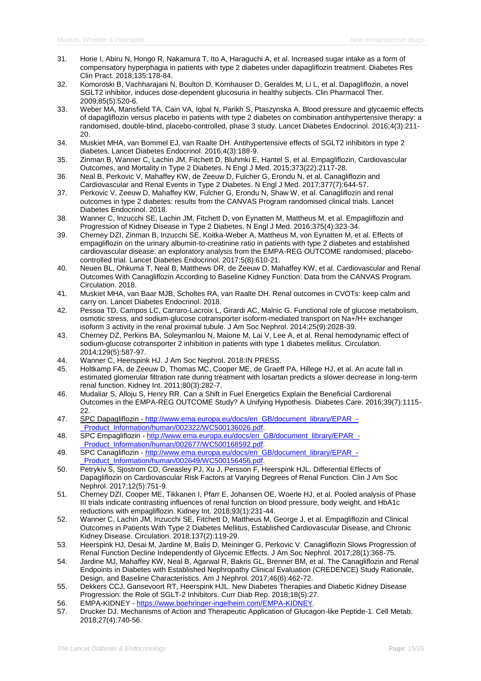- 31. Horie I, Abiru N, Hongo R, Nakamura T, Ito A, Haraguchi A, et al. Increased sugar intake as a form of compensatory hyperphagia in patients with type 2 diabetes under dapagliflozin treatment. Diabetes Res Clin Pract. 2018;135:178-84.
- 32. Komoroski B, Vachharajani N, Boulton D, Kornhauser D, Geraldes M, Li L, et al. Dapagliflozin, a novel SGLT2 inhibitor, induces dose-dependent glucosuria in healthy subjects. Clin Pharmacol Ther. 2009;85(5):520-6.
- 33. Weber MA, Mansfield TA, Cain VA, Iqbal N, Parikh S, Ptaszynska A. Blood pressure and glycaemic effects of dapagliflozin versus placebo in patients with type 2 diabetes on combination antihypertensive therapy: a randomised, double-blind, placebo-controlled, phase 3 study. Lancet Diabetes Endocrinol. 2016;4(3):211- 20.
- 34. Muskiet MHA, van Bommel EJ, van Raalte DH. Antihypertensive effects of SGLT2 inhibitors in type 2 diabetes. Lancet Diabetes Endocrinol. 2016;4(3):188-9.
- 35. Zinman B, Wanner C, Lachin JM, Fitchett D, Bluhmki E, Hantel S, et al. Empagliflozin, Cardiovascular Outcomes, and Mortality in Type 2 Diabetes. N Engl J Med. 2015;373(22):2117-28.
- 36. Neal B, Perkovic V, Mahaffey KW, de Zeeuw D, Fulcher G, Erondu N, et al. Canagliflozin and Cardiovascular and Renal Events in Type 2 Diabetes. N Engl J Med. 2017;377(7):644-57.
- 37. Perkovic V, Zeeuw D, Mahaffey KW, Fulcher G, Erondu N, Shaw W, et al. Canagliflozin and renal outcomes in type 2 diabetes: results from the CANVAS Program randomised clinical trials. Lancet Diabetes Endocrinol. 2018.
- 38. Wanner C, Inzucchi SE, Lachin JM, Fitchett D, von Eynatten M, Mattheus M, et al. Empagliflozin and Progression of Kidney Disease in Type 2 Diabetes. N Engl J Med. 2016;375(4):323-34.
- 39. Cherney DZI, Zinman B, Inzucchi SE, Koitka-Weber A, Mattheus M, von Eynatten M, et al. Effects of empagliflozin on the urinary albumin-to-creatinine ratio in patients with type 2 diabetes and established cardiovascular disease: an exploratory analysis from the EMPA-REG OUTCOME randomised, placebocontrolled trial. Lancet Diabetes Endocrinol. 2017;5(8):610-21.
- 40. Neuen BL, Ohkuma T, Neal B, Matthews DR, de Zeeuw D, Mahaffey KW, et al. Cardiovascular and Renal Outcomes With Canagliflozin According to Baseline Kidney Function: Data from the CANVAS Program. Circulation. 2018.
- 41. Muskiet MHA, van Baar MJB, Scholtes RA, van Raalte DH. Renal outcomes in CVOTs: keep calm and carry on. Lancet Diabetes Endocrinol. 2018.
- 42. Pessoa TD, Campos LC, Carraro-Lacroix L, Girardi AC, Malnic G. Functional role of glucose metabolism, osmotic stress, and sodium-glucose cotransporter isoform-mediated transport on Na+/H+ exchanger isoform 3 activity in the renal proximal tubule. J Am Soc Nephrol. 2014;25(9):2028-39.
- 43. Cherney DZ, Perkins BA, Soleymanlou N, Maione M, Lai V, Lee A, et al. Renal hemodynamic effect of sodium-glucose cotransporter 2 inhibition in patients with type 1 diabetes mellitus. Circulation. 2014;129(5):587-97.
- 44. Wanner C, Heerspink HJ. J Am Soc Nephrol. 2018:IN PRESS.
- 45. Holtkamp FA, de Zeeuw D, Thomas MC, Cooper ME, de Graeff PA, Hillege HJ, et al. An acute fall in estimated glomerular filtration rate during treatment with losartan predicts a slower decrease in long-term renal function. Kidney Int. 2011;80(3):282-7.
- 46. Mudaliar S, Alloju S, Henry RR. Can a Shift in Fuel Energetics Explain the Beneficial Cardiorenal Outcomes in the EMPA-REG OUTCOME Study? A Unifying Hypothesis. Diabetes Care. 2016;39(7):1115- 22.
- 47. SPC Dapagliflozin [http://www.ema.europa.eu/docs/en\\_GB/document\\_library/EPAR\\_-](http://www.ema.europa.eu/docs/en_GB/document_library/EPAR_-_Product_Information/human/002322/WC500136026.pdf) [\\_Product\\_Information/human/002322/WC500136026.pdf.](http://www.ema.europa.eu/docs/en_GB/document_library/EPAR_-_Product_Information/human/002322/WC500136026.pdf)
- 48. SPC Empagliflozin [http://www.ema.europa.eu/docs/en\\_GB/document\\_library/EPAR\\_-](http://www.ema.europa.eu/docs/en_GB/document_library/EPAR_-_Product_Information/human/002677/WC500168592.pdf) [\\_Product\\_Information/human/002677/WC500168592.pdf.](http://www.ema.europa.eu/docs/en_GB/document_library/EPAR_-_Product_Information/human/002677/WC500168592.pdf)
- 49. SPC Canagliflozin [http://www.ema.europa.eu/docs/en\\_GB/document\\_library/EPAR\\_-](http://www.ema.europa.eu/docs/en_GB/document_library/EPAR_-_Product_Information/human/002649/WC500156456.pdf) Product\_Information/human/002649/WC500156456.pdf.
- 50. Petrykiv S, Sjostrom CD, Greasley PJ, Xu J, Persson F, Heerspink HJL. Differential Effects of Dapagliflozin on Cardiovascular Risk Factors at Varying Degrees of Renal Function. Clin J Am Soc Nephrol. 2017;12(5):751-9.
- 51. Cherney DZI, Cooper ME, Tikkanen I, Pfarr E, Johansen OE, Woerle HJ, et al. Pooled analysis of Phase III trials indicate contrasting influences of renal function on blood pressure, body weight, and HbA1c reductions with empagliflozin. Kidney Int. 2018;93(1):231-44.
- 52. Wanner C, Lachin JM, Inzucchi SE, Fitchett D, Mattheus M, George J, et al. Empagliflozin and Clinical Outcomes in Patients With Type 2 Diabetes Mellitus, Established Cardiovascular Disease, and Chronic Kidney Disease. Circulation. 2018;137(2):119-29.
- 53. Heerspink HJ, Desai M, Jardine M, Balis D, Meininger G, Perkovic V. Canagliflozin Slows Progression of Renal Function Decline Independently of Glycemic Effects. J Am Soc Nephrol. 2017;28(1):368-75.
- 54. Jardine MJ, Mahaffey KW, Neal B, Agarwal R, Bakris GL, Brenner BM, et al. The Canagliflozin and Renal Endpoints in Diabetes with Established Nephropathy Clinical Evaluation (CREDENCE) Study Rationale, Design, and Baseline Characteristics. Am J Nephrol. 2017;46(6):462-72.
- 55. Dekkers CCJ, Gansevoort RT, Heerspink HJL. New Diabetes Therapies and Diabetic Kidney Disease Progression: the Role of SGLT-2 Inhibitors. Curr Diab Rep. 2018;18(5):27.
- 56. EMPA-KIDNEY [https://www.boehringer-ingelheim.com/EMPA-KIDNEY.](https://www.boehringer-ingelheim.com/EMPA-KIDNEY)
- 57. Drucker DJ. Mechanisms of Action and Therapeutic Application of Glucagon-like Peptide-1. Cell Metab. 2018;27(4):740-56.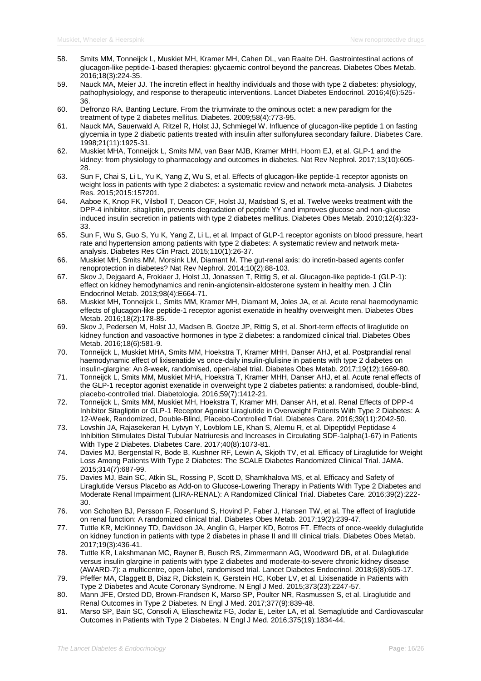- 58. Smits MM, Tonneijck L, Muskiet MH, Kramer MH, Cahen DL, van Raalte DH. Gastrointestinal actions of glucagon-like peptide-1-based therapies: glycaemic control beyond the pancreas. Diabetes Obes Metab. 2016;18(3):224-35.
- 59. Nauck MA, Meier JJ. The incretin effect in healthy individuals and those with type 2 diabetes: physiology, pathophysiology, and response to therapeutic interventions. Lancet Diabetes Endocrinol. 2016;4(6):525- 36.
- 60. Defronzo RA. Banting Lecture. From the triumvirate to the ominous octet: a new paradigm for the treatment of type 2 diabetes mellitus. Diabetes. 2009;58(4):773-95.
- 61. Nauck MA, Sauerwald A, Ritzel R, Holst JJ, Schmiegel W. Influence of glucagon-like peptide 1 on fasting glycemia in type 2 diabetic patients treated with insulin after sulfonylurea secondary failure. Diabetes Care. 1998;21(11):1925-31.
- 62. Muskiet MHA, Tonneijck L, Smits MM, van Baar MJB, Kramer MHH, Hoorn EJ, et al. GLP-1 and the kidney: from physiology to pharmacology and outcomes in diabetes. Nat Rev Nephrol. 2017;13(10):605- 28.
- 63. Sun F, Chai S, Li L, Yu K, Yang Z, Wu S, et al. Effects of glucagon-like peptide-1 receptor agonists on weight loss in patients with type 2 diabetes: a systematic review and network meta-analysis. J Diabetes Res. 2015;2015:157201.
- 64. Aaboe K, Knop FK, Vilsboll T, Deacon CF, Holst JJ, Madsbad S, et al. Twelve weeks treatment with the DPP-4 inhibitor, sitagliptin, prevents degradation of peptide YY and improves glucose and non-glucose induced insulin secretion in patients with type 2 diabetes mellitus. Diabetes Obes Metab. 2010;12(4):323- 33.
- 65. Sun F, Wu S, Guo S, Yu K, Yang Z, Li L, et al. Impact of GLP-1 receptor agonists on blood pressure, heart rate and hypertension among patients with type 2 diabetes: A systematic review and network metaanalysis. Diabetes Res Clin Pract. 2015;110(1):26-37.
- 66. Muskiet MH, Smits MM, Morsink LM, Diamant M. The gut-renal axis: do incretin-based agents confer renoprotection in diabetes? Nat Rev Nephrol. 2014;10(2):88-103.
- 67. Skov J, Dejgaard A, Frokiaer J, Holst JJ, Jonassen T, Rittig S, et al. Glucagon-like peptide-1 (GLP-1): effect on kidney hemodynamics and renin-angiotensin-aldosterone system in healthy men. J Clin Endocrinol Metab. 2013;98(4):E664-71.
- 68. Muskiet MH, Tonneijck L, Smits MM, Kramer MH, Diamant M, Joles JA, et al. Acute renal haemodynamic effects of glucagon-like peptide-1 receptor agonist exenatide in healthy overweight men. Diabetes Obes Metab. 2016;18(2):178-85.
- 69. Skov J, Pedersen M, Holst JJ, Madsen B, Goetze JP, Rittig S, et al. Short-term effects of liraglutide on kidney function and vasoactive hormones in type 2 diabetes: a randomized clinical trial. Diabetes Obes Metab. 2016;18(6):581-9.
- 70. Tonneijck L, Muskiet MHA, Smits MM, Hoekstra T, Kramer MHH, Danser AHJ, et al. Postprandial renal haemodynamic effect of lixisenatide vs once-daily insulin-glulisine in patients with type 2 diabetes on insulin-glargine: An 8-week, randomised, open-label trial. Diabetes Obes Metab. 2017;19(12):1669-80.
- 71. Tonneijck L, Smits MM, Muskiet MHA, Hoekstra T, Kramer MHH, Danser AHJ, et al. Acute renal effects of the GLP-1 receptor agonist exenatide in overweight type 2 diabetes patients: a randomised, double-blind, placebo-controlled trial. Diabetologia. 2016;59(7):1412-21.
- 72. Tonneijck L, Smits MM, Muskiet MH, Hoekstra T, Kramer MH, Danser AH, et al. Renal Effects of DPP-4 Inhibitor Sitagliptin or GLP-1 Receptor Agonist Liraglutide in Overweight Patients With Type 2 Diabetes: A 12-Week, Randomized, Double-Blind, Placebo-Controlled Trial. Diabetes Care. 2016;39(11):2042-50.
- 73. Lovshin JA, Rajasekeran H, Lytvyn Y, Lovblom LE, Khan S, Alemu R, et al. Dipeptidyl Peptidase 4 Inhibition Stimulates Distal Tubular Natriuresis and Increases in Circulating SDF-1alpha(1-67) in Patients With Type 2 Diabetes. Diabetes Care. 2017;40(8):1073-81.
- 74. Davies MJ, Bergenstal R, Bode B, Kushner RF, Lewin A, Skjoth TV, et al. Efficacy of Liraglutide for Weight Loss Among Patients With Type 2 Diabetes: The SCALE Diabetes Randomized Clinical Trial. JAMA. 2015;314(7):687-99.
- 75. Davies MJ, Bain SC, Atkin SL, Rossing P, Scott D, Shamkhalova MS, et al. Efficacy and Safety of Liraglutide Versus Placebo as Add-on to Glucose-Lowering Therapy in Patients With Type 2 Diabetes and Moderate Renal Impairment (LIRA-RENAL): A Randomized Clinical Trial. Diabetes Care. 2016;39(2):222- 30.
- 76. von Scholten BJ, Persson F, Rosenlund S, Hovind P, Faber J, Hansen TW, et al. The effect of liraglutide on renal function: A randomized clinical trial. Diabetes Obes Metab. 2017;19(2):239-47.
- 77. Tuttle KR, McKinney TD, Davidson JA, Anglin G, Harper KD, Botros FT. Effects of once-weekly dulaglutide on kidney function in patients with type 2 diabetes in phase II and III clinical trials. Diabetes Obes Metab. 2017;19(3):436-41.
- 78. Tuttle KR, Lakshmanan MC, Rayner B, Busch RS, Zimmermann AG, Woodward DB, et al. Dulaglutide versus insulin glargine in patients with type 2 diabetes and moderate-to-severe chronic kidney disease (AWARD-7): a multicentre, open-label, randomised trial. Lancet Diabetes Endocrinol. 2018;6(8):605-17.
- 79. Pfeffer MA, Claggett B, Diaz R, Dickstein K, Gerstein HC, Kober LV, et al. Lixisenatide in Patients with Type 2 Diabetes and Acute Coronary Syndrome. N Engl J Med. 2015;373(23):2247-57.
- 80. Mann JFE, Orsted DD, Brown-Frandsen K, Marso SP, Poulter NR, Rasmussen S, et al. Liraglutide and Renal Outcomes in Type 2 Diabetes. N Engl J Med. 2017;377(9):839-48.
- 81. Marso SP, Bain SC, Consoli A, Eliaschewitz FG, Jodar E, Leiter LA, et al. Semaglutide and Cardiovascular Outcomes in Patients with Type 2 Diabetes. N Engl J Med. 2016;375(19):1834-44.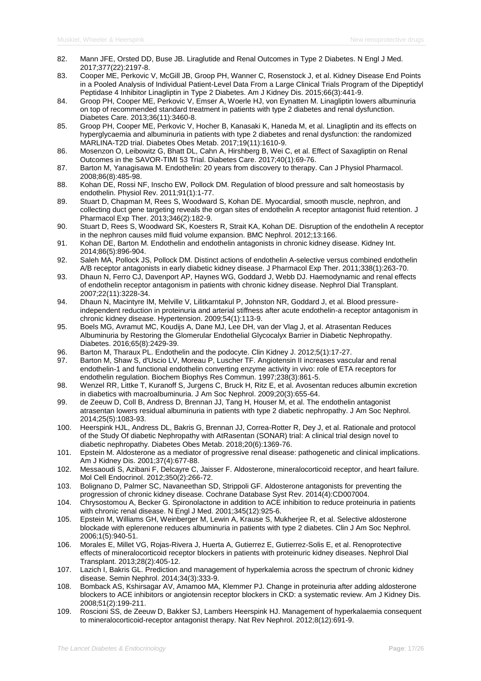- 82. Mann JFE, Orsted DD, Buse JB. Liraglutide and Renal Outcomes in Type 2 Diabetes. N Engl J Med. 2017;377(22):2197-8.
- 83. Cooper ME, Perkovic V, McGill JB, Groop PH, Wanner C, Rosenstock J, et al. Kidney Disease End Points in a Pooled Analysis of Individual Patient-Level Data From a Large Clinical Trials Program of the Dipeptidyl Peptidase 4 Inhibitor Linagliptin in Type 2 Diabetes. Am J Kidney Dis. 2015;66(3):441-9.
- 84. Groop PH, Cooper ME, Perkovic V, Emser A, Woerle HJ, von Eynatten M. Linagliptin lowers albuminuria on top of recommended standard treatment in patients with type 2 diabetes and renal dysfunction. Diabetes Care. 2013;36(11):3460-8.
- 85. Groop PH, Cooper ME, Perkovic V, Hocher B, Kanasaki K, Haneda M, et al. Linagliptin and its effects on hyperglycaemia and albuminuria in patients with type 2 diabetes and renal dysfunction: the randomized MARLINA-T2D trial. Diabetes Obes Metab. 2017;19(11):1610-9.
- 86. Mosenzon O, Leibowitz G, Bhatt DL, Cahn A, Hirshberg B, Wei C, et al. Effect of Saxagliptin on Renal Outcomes in the SAVOR-TIMI 53 Trial. Diabetes Care. 2017;40(1):69-76.
- 87. Barton M, Yanagisawa M. Endothelin: 20 years from discovery to therapy. Can J Physiol Pharmacol. 2008;86(8):485-98.
- 88. Kohan DE, Rossi NF, Inscho EW, Pollock DM. Regulation of blood pressure and salt homeostasis by endothelin. Physiol Rev. 2011;91(1):1-77.
- 89. Stuart D, Chapman M, Rees S, Woodward S, Kohan DE. Myocardial, smooth muscle, nephron, and collecting duct gene targeting reveals the organ sites of endothelin A receptor antagonist fluid retention. J Pharmacol Exp Ther. 2013;346(2):182-9.
- 90. Stuart D, Rees S, Woodward SK, Koesters R, Strait KA, Kohan DE. Disruption of the endothelin A receptor in the nephron causes mild fluid volume expansion. BMC Nephrol. 2012;13:166.
- 91. Kohan DE, Barton M. Endothelin and endothelin antagonists in chronic kidney disease. Kidney Int. 2014;86(5):896-904.
- 92. Saleh MA, Pollock JS, Pollock DM. Distinct actions of endothelin A-selective versus combined endothelin A/B receptor antagonists in early diabetic kidney disease. J Pharmacol Exp Ther. 2011;338(1):263-70.
- 93. Dhaun N, Ferro CJ, Davenport AP, Haynes WG, Goddard J, Webb DJ. Haemodynamic and renal effects of endothelin receptor antagonism in patients with chronic kidney disease. Nephrol Dial Transplant. 2007;22(11):3228-34.
- 94. Dhaun N, Macintyre IM, Melville V, Lilitkarntakul P, Johnston NR, Goddard J, et al. Blood pressureindependent reduction in proteinuria and arterial stiffness after acute endothelin-a receptor antagonism in chronic kidney disease. Hypertension. 2009;54(1):113-9.
- 95. Boels MG, Avramut MC, Koudijs A, Dane MJ, Lee DH, van der Vlag J, et al. Atrasentan Reduces Albuminuria by Restoring the Glomerular Endothelial Glycocalyx Barrier in Diabetic Nephropathy. Diabetes. 2016;65(8):2429-39.
- 96. Barton M, Tharaux PL. Endothelin and the podocyte. Clin Kidney J. 2012;5(1):17-27.
- 97. Barton M, Shaw S, d'Uscio LV, Moreau P, Luscher TF. Angiotensin II increases vascular and renal endothelin-1 and functional endothelin converting enzyme activity in vivo: role of ETA receptors for endothelin regulation. Biochem Biophys Res Commun. 1997;238(3):861-5.
- 98. Wenzel RR, Littke T, Kuranoff S, Jurgens C, Bruck H, Ritz E, et al. Avosentan reduces albumin excretion in diabetics with macroalbuminuria. J Am Soc Nephrol. 2009;20(3):655-64.
- 99. de Zeeuw D, Coll B, Andress D, Brennan JJ, Tang H, Houser M, et al. The endothelin antagonist atrasentan lowers residual albuminuria in patients with type 2 diabetic nephropathy. J Am Soc Nephrol. 2014;25(5):1083-93.
- 100. Heerspink HJL, Andress DL, Bakris G, Brennan JJ, Correa-Rotter R, Dey J, et al. Rationale and protocol of the Study Of diabetic Nephropathy with AtRasentan (SONAR) trial: A clinical trial design novel to diabetic nephropathy. Diabetes Obes Metab. 2018;20(6):1369-76.
- 101. Epstein M. Aldosterone as a mediator of progressive renal disease: pathogenetic and clinical implications. Am J Kidney Dis. 2001;37(4):677-88.
- 102. Messaoudi S, Azibani F, Delcayre C, Jaisser F. Aldosterone, mineralocorticoid receptor, and heart failure. Mol Cell Endocrinol. 2012;350(2):266-72.
- 103. Bolignano D, Palmer SC, Navaneethan SD, Strippoli GF. Aldosterone antagonists for preventing the progression of chronic kidney disease. Cochrane Database Syst Rev. 2014(4):CD007004.
- 104. Chrysostomou A, Becker G. Spironolactone in addition to ACE inhibition to reduce proteinuria in patients with chronic renal disease. N Engl J Med. 2001;345(12):925-6.
- 105. Epstein M, Williams GH, Weinberger M, Lewin A, Krause S, Mukherjee R, et al. Selective aldosterone blockade with eplerenone reduces albuminuria in patients with type 2 diabetes. Clin J Am Soc Nephrol. 2006;1(5):940-51.
- 106. Morales E, Millet VG, Rojas-Rivera J, Huerta A, Gutierrez E, Gutierrez-Solis E, et al. Renoprotective effects of mineralocorticoid receptor blockers in patients with proteinuric kidney diseases. Nephrol Dial Transplant. 2013;28(2):405-12.
- 107. Lazich I, Bakris GL. Prediction and management of hyperkalemia across the spectrum of chronic kidney disease. Semin Nephrol. 2014;34(3):333-9.
- 108. Bomback AS, Kshirsagar AV, Amamoo MA, Klemmer PJ. Change in proteinuria after adding aldosterone blockers to ACE inhibitors or angiotensin receptor blockers in CKD: a systematic review. Am J Kidney Dis. 2008;51(2):199-211.
- 109. Roscioni SS, de Zeeuw D, Bakker SJ, Lambers Heerspink HJ. Management of hyperkalaemia consequent to mineralocorticoid-receptor antagonist therapy. Nat Rev Nephrol. 2012;8(12):691-9.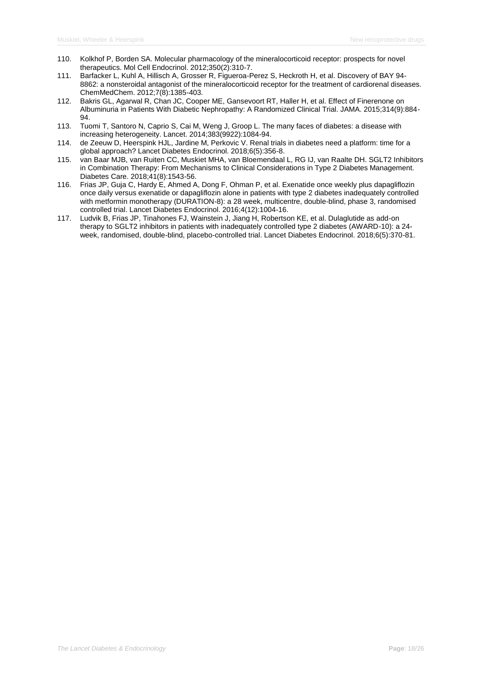- 110. Kolkhof P, Borden SA. Molecular pharmacology of the mineralocorticoid receptor: prospects for novel therapeutics. Mol Cell Endocrinol. 2012;350(2):310-7.
- 111. Barfacker L, Kuhl A, Hillisch A, Grosser R, Figueroa-Perez S, Heckroth H, et al. Discovery of BAY 94- 8862: a nonsteroidal antagonist of the mineralocorticoid receptor for the treatment of cardiorenal diseases. ChemMedChem. 2012;7(8):1385-403.
- 112. Bakris GL, Agarwal R, Chan JC, Cooper ME, Gansevoort RT, Haller H, et al. Effect of Finerenone on Albuminuria in Patients With Diabetic Nephropathy: A Randomized Clinical Trial. JAMA. 2015;314(9):884- 94.
- 113. Tuomi T, Santoro N, Caprio S, Cai M, Weng J, Groop L. The many faces of diabetes: a disease with increasing heterogeneity. Lancet. 2014;383(9922):1084-94.
- 114. de Zeeuw D, Heerspink HJL, Jardine M, Perkovic V. Renal trials in diabetes need a platform: time for a global approach? Lancet Diabetes Endocrinol. 2018;6(5):356-8.
- 115. van Baar MJB, van Ruiten CC, Muskiet MHA, van Bloemendaal L, RG IJ, van Raalte DH. SGLT2 Inhibitors in Combination Therapy: From Mechanisms to Clinical Considerations in Type 2 Diabetes Management. Diabetes Care. 2018;41(8):1543-56.
- 116. Frias JP, Guja C, Hardy E, Ahmed A, Dong F, Ohman P, et al. Exenatide once weekly plus dapagliflozin once daily versus exenatide or dapagliflozin alone in patients with type 2 diabetes inadequately controlled with metformin monotherapy (DURATION-8): a 28 week, multicentre, double-blind, phase 3, randomised controlled trial. Lancet Diabetes Endocrinol. 2016;4(12):1004-16.
- 117. Ludvik B, Frias JP, Tinahones FJ, Wainstein J, Jiang H, Robertson KE, et al. Dulaglutide as add-on therapy to SGLT2 inhibitors in patients with inadequately controlled type 2 diabetes (AWARD-10): a 24 week, randomised, double-blind, placebo-controlled trial. Lancet Diabetes Endocrinol. 2018;6(5):370-81.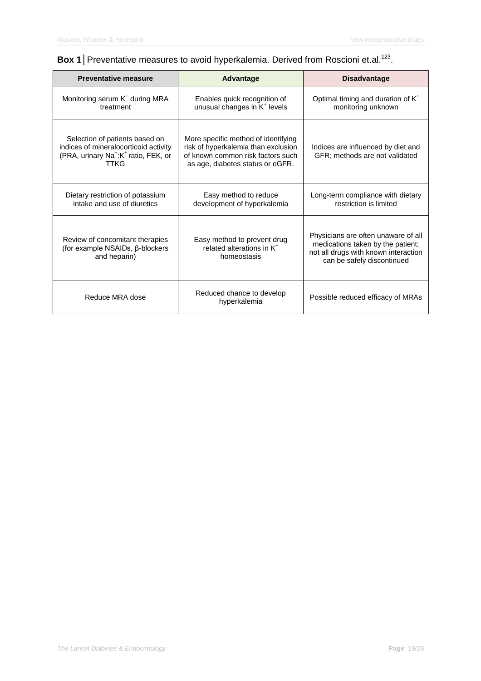# **Box 1** Preventative measures to avoid hyperkalemia. Derived from Roscioni et.al.<sup>123</sup>.

| <b>Preventative measure</b>                                                                                                                            | <b>Advantage</b>                                                                                                                                    | <b>Disadvantage</b>                                                                                                                            |
|--------------------------------------------------------------------------------------------------------------------------------------------------------|-----------------------------------------------------------------------------------------------------------------------------------------------------|------------------------------------------------------------------------------------------------------------------------------------------------|
| Monitoring serum K <sup>+</sup> during MRA<br>treatment                                                                                                | Enables quick recognition of<br>unusual changes in K <sup>+</sup> levels                                                                            | Optimal timing and duration of K <sup>+</sup><br>monitoring unknown                                                                            |
| Selection of patients based on<br>indices of mineralocorticoid activity<br>(PRA, urinary Na <sup>+</sup> :K <sup>+</sup> ratio, FEK, or<br><b>TTKG</b> | More specific method of identifying<br>risk of hyperkalemia than exclusion<br>of known common risk factors such<br>as age, diabetes status or eGFR. | Indices are influenced by diet and<br>GFR; methods are not validated                                                                           |
| Dietary restriction of potassium<br>intake and use of diuretics                                                                                        | Easy method to reduce<br>development of hyperkalemia                                                                                                | Long-term compliance with dietary<br>restriction is limited                                                                                    |
| Review of concomitant therapies<br>(for example NSAIDs, β-blockers<br>and heparin)                                                                     | Easy method to prevent drug<br>related alterations in K <sup>+</sup><br>homeostasis                                                                 | Physicians are often unaware of all<br>medications taken by the patient;<br>not all drugs with known interaction<br>can be safely discontinued |
| Reduce MRA dose                                                                                                                                        | Reduced chance to develop<br>hyperkalemia                                                                                                           | Possible reduced efficacy of MRAs                                                                                                              |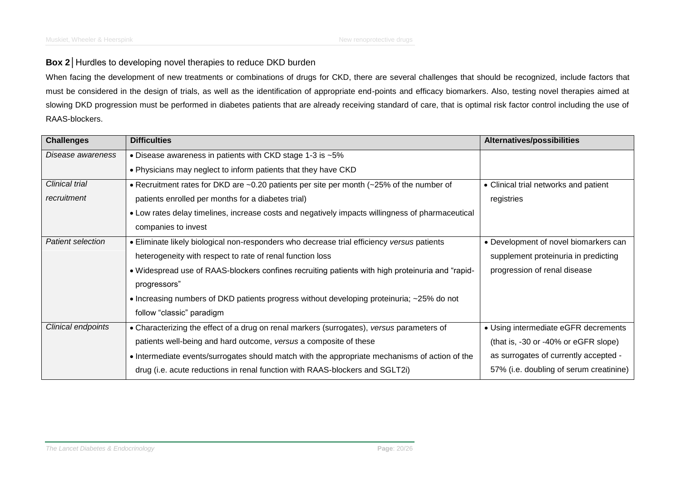# **Box 2** Hurdles to developing novel therapies to reduce DKD burden

When facing the development of new treatments or combinations of drugs for CKD, there are several challenges that should be recognized, include factors that must be considered in the design of trials, as well as the identification of appropriate end-points and efficacy biomarkers. Also, testing novel therapies aimed at slowing DKD progression must be performed in diabetes patients that are already receiving standard of care, that is optimal risk factor control including the use of RAAS-blockers.

| <b>Challenges</b>     | <b>Difficulties</b>                                                                              | <b>Alternatives/possibilities</b>       |
|-----------------------|--------------------------------------------------------------------------------------------------|-----------------------------------------|
| Disease awareness     | • Disease awareness in patients with CKD stage 1-3 is ~5%                                        |                                         |
|                       | . Physicians may neglect to inform patients that they have CKD                                   |                                         |
| <b>Clinical trial</b> | • Recruitment rates for DKD are ~0.20 patients per site per month (~25% of the number of         | • Clinical trial networks and patient   |
| recruitment           | patients enrolled per months for a diabetes trial)                                               | registries                              |
|                       | • Low rates delay timelines, increase costs and negatively impacts willingness of pharmaceutical |                                         |
|                       | companies to invest                                                                              |                                         |
| Patient selection     | • Eliminate likely biological non-responders who decrease trial efficiency versus patients       | • Development of novel biomarkers can   |
|                       | heterogeneity with respect to rate of renal function loss                                        | supplement proteinuria in predicting    |
|                       | • Widespread use of RAAS-blockers confines recruiting patients with high proteinuria and "rapid- | progression of renal disease            |
|                       | progressors"                                                                                     |                                         |
|                       | • Increasing numbers of DKD patients progress without developing proteinuria; ~25% do not        |                                         |
|                       | follow "classic" paradigm                                                                        |                                         |
| Clinical endpoints    | • Characterizing the effect of a drug on renal markers (surrogates), versus parameters of        | • Using intermediate eGFR decrements    |
|                       | patients well-being and hard outcome, versus a composite of these                                | (that is, -30 or -40% or eGFR slope)    |
|                       | • Intermediate events/surrogates should match with the appropriate mechanisms of action of the   | as surrogates of currently accepted -   |
|                       | drug (i.e. acute reductions in renal function with RAAS-blockers and SGLT2i)                     | 57% (i.e. doubling of serum creatinine) |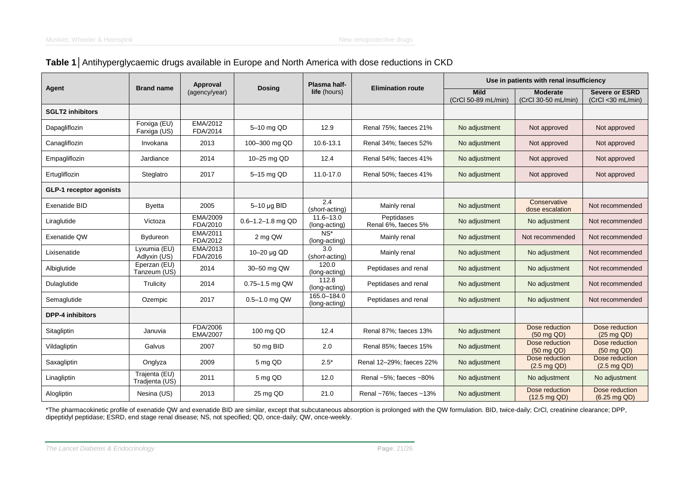# **Table 1**│Antihyperglycaemic drugs available in Europe and North America with dose reductions in CKD

|                         |                                 | Approval                                              |                   | Plasma half-                   |                                    | Use in patients with renal insufficiency |                                             |                                          |  |  |
|-------------------------|---------------------------------|-------------------------------------------------------|-------------------|--------------------------------|------------------------------------|------------------------------------------|---------------------------------------------|------------------------------------------|--|--|
| Agent                   | <b>Brand name</b>               | <b>Dosing</b><br>(agency/year)<br><b>life</b> (hours) |                   | <b>Elimination route</b>       | <b>Mild</b><br>(CrCl 50-89 mL/min) | <b>Moderate</b><br>(CrCl 30-50 mL/min)   | <b>Severe or ESRD</b><br>(CrCl < 30 mL/min) |                                          |  |  |
| <b>SGLT2 inhibitors</b> |                                 |                                                       |                   |                                |                                    |                                          |                                             |                                          |  |  |
| Dapagliflozin           | Forxiga (EU)<br>Farxiga (US)    | EMA/2012<br>FDA/2014                                  | 5-10 mg QD        | 12.9                           | Renal 75%; faeces 21%              | No adjustment                            | Not approved                                | Not approved                             |  |  |
| Canagliflozin           | Invokana                        | 2013                                                  | 100-300 mg QD     | 10.6-13.1                      | Renal 34%; faeces 52%              | No adjustment                            | Not approved                                | Not approved                             |  |  |
| Empagliflozin           | Jardiance                       | 2014                                                  | 10-25 mg QD       | 12.4                           | Renal 54%: faeces 41%              | No adjustment                            | Not approved                                | Not approved                             |  |  |
| Ertugliflozin           | Steglatro                       | 2017                                                  | 5-15 mg QD        | 11.0-17.0                      | Renal 50%: faeces 41%              | No adjustment                            | Not approved                                | Not approved                             |  |  |
| GLP-1 receptor agonists |                                 |                                                       |                   |                                |                                    |                                          |                                             |                                          |  |  |
| Exenatide BID           | <b>Byetta</b>                   | 2005                                                  | $5-10$ µg BID     | 2.4<br>(short-acting)          | Mainly renal                       | No adjustment                            | Conservative<br>dose escalation             | Not recommended                          |  |  |
| Liraglutide             | Victoza                         | EMA/2009<br>FDA/2010                                  | 0.6-1.2-1.8 mg QD | $11.6 - 13.0$<br>(long-acting) | Peptidases<br>Renal 6%, faeces 5%  | No adjustment                            | No adjustment                               | Not recommended                          |  |  |
| Exenatide QW            | <b>Bydureon</b>                 | EMA/2011<br>FDA/2012                                  | 2 mg QW           | $NS*$<br>(long-acting)         | Mainly renal                       | No adjustment                            | Not recommended                             | Not recommended                          |  |  |
| Lixisenatide            | Lyxumia (EU)<br>Adlyxin (US)    | EMA/2013<br>FDA/2016                                  | 10-20 µg QD       | 3.0<br>(short-acting)          | Mainly renal                       | No adjustment                            | No adjustment                               | Not recommended                          |  |  |
| Albiglutide             | Eperzan (EU)<br>Tanzeum (US)    | 2014                                                  | 30-50 mg QW       | 120.0<br>(long-acting)         | Peptidases and renal               | No adjustment                            | No adjustment                               | Not recommended                          |  |  |
| Dulaglutide             | Trulicity                       | 2014                                                  | 0.75-1.5 mg QW    | 112.8<br>(long-acting)         | Peptidases and renal               | No adjustment                            | No adjustment                               | Not recommended                          |  |  |
| Semaglutide             | Ozempic                         | 2017                                                  | $0.5 - 1.0$ mg QW | 165.0-184.0<br>(long-acting)   | Peptidases and renal               | No adjustment                            | No adjustment                               | Not recommended                          |  |  |
| <b>DPP-4 inhibitors</b> |                                 |                                                       |                   |                                |                                    |                                          |                                             |                                          |  |  |
| Sitagliptin             | Januvia                         | FDA/2006<br>EMA/2007                                  | 100 mg QD         | 12.4                           | Renal 87%; faeces 13%              | No adjustment                            | Dose reduction<br>(50 mg QD)                | Dose reduction<br>$(25 \text{ mg QD})$   |  |  |
| Vildagliptin            | Galvus                          | 2007                                                  | 50 mg BID         | 2.0                            | Renal 85%; faeces 15%              | No adjustment                            | Dose reduction<br>(50 mg QD)                | Dose reduction<br>(50 mg QD)             |  |  |
| Saxagliptin             | Onglyza                         | 2009                                                  | 5 mg QD           | $2.5*$                         | Renal 12-29%; faeces 22%           | No adjustment                            | Dose reduction<br>$(2.5 \text{ mg QD})$     | Dose reduction<br>$(2.5 \text{ mg QD})$  |  |  |
| Linagliptin             | Trajenta (EU)<br>Tradjenta (US) | 2011                                                  | 5 mg QD           | 12.0                           | Renal ~5%; faeces ~80%             | No adjustment                            | No adjustment                               | No adjustment                            |  |  |
| Alogliptin              | Nesina (US)                     | 2013                                                  | 25 mg QD          | 21.0                           | Renal ~76%; faeces ~13%            | No adjustment                            | Dose reduction<br>$(12.5 \text{ mg QD})$    | Dose reduction<br>$(6.25 \text{ mg QD})$ |  |  |

\*The pharmacokinetic profile of exenatide QW and exenatide BID are similar, except that subcutaneous absorption is prolonged with the QW formulation. BID, twice-daily; CrCl, creatinine clearance; DPP, dipeptidyl peptidase; ESRD, end stage renal disease; NS, not specified; QD, once-daily; QW, once-weekly.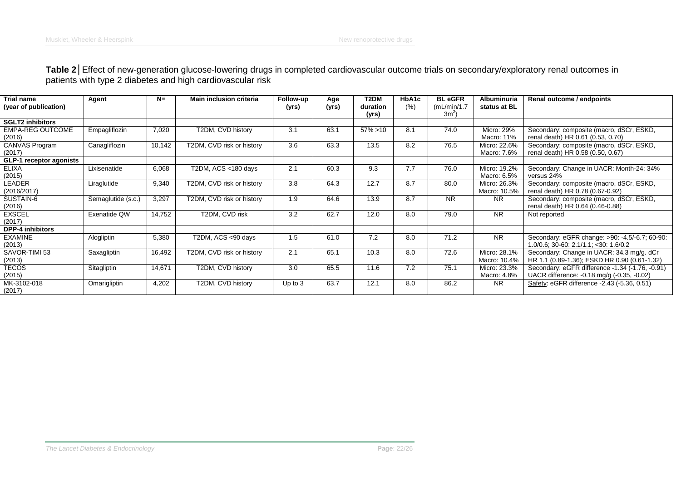## **Table 2**│Effect of new-generation glucose-lowering drugs in completed cardiovascular outcome trials on secondary/exploratory renal outcomes in patients with type 2 diabetes and high cardiovascular risk

| <b>Trial name</b>                 | Agent              | $N=$   | <b>Main inclusion criteria</b> | Follow-up | Age   | T2DM              | HbA1c | <b>BL</b> eGFR         | Albuminuria                  | Renal outcome / endpoints                                                                     |
|-----------------------------------|--------------------|--------|--------------------------------|-----------|-------|-------------------|-------|------------------------|------------------------------|-----------------------------------------------------------------------------------------------|
| (year of publication)             |                    |        |                                | (yrs)     | (yrs) | duration<br>(yrs) | (% )  | (mL/min/1.7)<br>$3m^2$ | status at BL                 |                                                                                               |
| <b>SGLT2 inhibitors</b>           |                    |        |                                |           |       |                   |       |                        |                              |                                                                                               |
| <b>EMPA-REG OUTCOME</b><br>(2016) | Empagliflozin      | 7,020  | T2DM, CVD history              | 3.1       | 63.1  | $57\% > 10$       | 8.1   | 74.0                   | Micro: 29%<br>Macro: 11%     | Secondary: composite (macro, dSCr, ESKD,<br>renal death) HR 0.61 (0.53, 0.70)                 |
| CANVAS Program<br>(2017)          | Canagliflozin      | 10,142 | T2DM, CVD risk or history      | 3.6       | 63.3  | 13.5              | 8.2   | 76.5                   | Micro: 22.6%<br>Macro: 7.6%  | Secondary: composite (macro, dSCr, ESKD,<br>renal death) HR 0.58 (0.50, 0.67)                 |
| GLP-1 receptor agonists           |                    |        |                                |           |       |                   |       |                        |                              |                                                                                               |
| <b>ELIXA</b><br>(2015)            | Lixisenatide       | 6,068  | T2DM, ACS <180 days            | 2.1       | 60.3  | 9.3               | 7.7   | 76.0                   | Micro: 19.2%<br>Macro: 6.5%  | Secondary: Change in UACR: Month-24: 34%<br>versus 24%                                        |
| LEADER<br>(2016/2017)             | Liraglutide        | 9,340  | T2DM, CVD risk or history      | 3.8       | 64.3  | 12.7              | 8.7   | 80.0                   | Micro: 26.3%<br>Macro: 10.5% | Secondary: composite (macro, dSCr, ESKD,<br>renal death) HR 0.78 (0.67-0.92)                  |
| SUSTAIN-6<br>(2016)               | Semaglutide (s.c.) | 3,297  | T2DM, CVD risk or history      | 1.9       | 64.6  | 13.9              | 8.7   | <b>NR</b>              | NR.                          | Secondary: composite (macro, dSCr, ESKD,<br>renal death) HR 0.64 (0.46-0.88)                  |
| <b>EXSCEL</b><br>(2017)           | Exenatide QW       | 14,752 | T2DM, CVD risk                 | 3.2       | 62.7  | 12.0              | 8.0   | 79.0                   | <b>NR</b>                    | Not reported                                                                                  |
| <b>DPP-4 inhibitors</b>           |                    |        |                                |           |       |                   |       |                        |                              |                                                                                               |
| <b>EXAMINE</b><br>(2013)          | Alogliptin         | 5,380  | T2DM, ACS <90 days             | 1.5       | 61.0  | 7.2               | 8.0   | 71.2                   | <b>NR</b>                    | Secondary: eGFR change: >90: -4.5/-6.7; 60-90:<br>$1.0/0.6$ ; 30-60: 2.1/1.1; <30: 1.6/0.2    |
| SAVOR-TIMI 53<br>(2013)           | Saxagliptin        | 16,492 | T2DM, CVD risk or history      | 2.1       | 65.1  | 10.3              | 8.0   | 72.6                   | Micro: 28.1%<br>Macro: 10.4% | Secondary: Change in UACR: 34.3 mg/g. dCr<br>HR 1.1 (0.89-1.36); ESKD HR 0.90 (0.61-1.32)     |
| <b>TECOS</b><br>(2015)            | Sitagliptin        | 14,671 | T2DM, CVD history              | 3.0       | 65.5  | 11.6              | 7.2   | 75.1                   | Micro: 23.3%<br>Macro: 4.8%  | Secondary: eGFR difference -1.34 (-1.76, -0.91)<br>UACR difference: -0.18 mg/g (-0.35, -0.02) |
| MK-3102-018<br>(2017)             | Omarigliptin       | 4,202  | T2DM, CVD history              | Up to $3$ | 63.7  | 12.1              | 8.0   | 86.2                   | NR.                          | Safety: eGFR difference -2.43 (-5.36, 0.51)                                                   |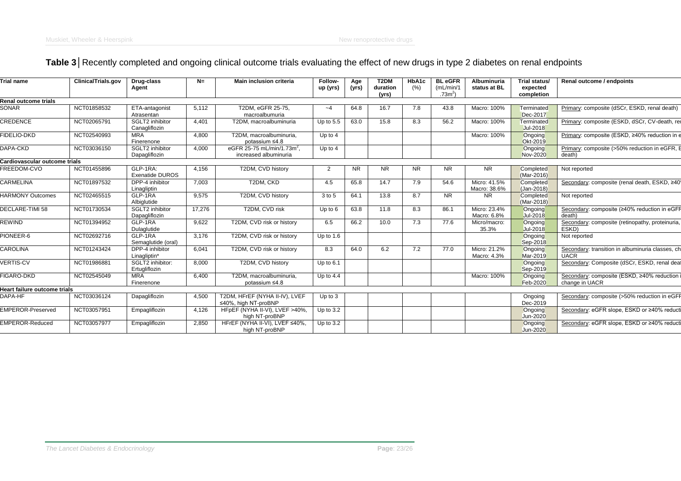# **Table 3**│Recently completed and ongoing clinical outcome trials evaluating the effect of new drugs in type 2 diabetes on renal endpoints

|                               | ClinicalTrials.gov | Drug-class<br>Agent                | $N =$  | <b>Main inclusion criteria</b>                                  | Follow-<br>up (yrs) | Age<br>(yrs) | T <sub>2</sub> DM<br>duration<br>(yrs) | HbA1c<br>(% ) | <b>BL</b> eGFR<br>(mL/min/1)<br>.73 <sup>2</sup> | <b>Albuminuria</b><br>status at BL | Trial status/<br>expected<br>completion | Renal outcome / endpoints                                       |
|-------------------------------|--------------------|------------------------------------|--------|-----------------------------------------------------------------|---------------------|--------------|----------------------------------------|---------------|--------------------------------------------------|------------------------------------|-----------------------------------------|-----------------------------------------------------------------|
| Renal outcome trials          |                    |                                    |        |                                                                 |                     |              |                                        |               |                                                  |                                    |                                         |                                                                 |
| <b>SONAR</b>                  | NCT01858532        | ETA-antagonist<br>Atrasentan       | 5,112  | T2DM, eGFR 25-75,<br>macroalbumuria                             | $-4$                | 64.8         | 16.7                                   | 7.8           | 43.8                                             | Macro: 100%                        | Terminated<br>Dec-2017                  | Primary: composite (dSCr, ESKD, renal death)                    |
| <b>CREDENCE</b>               | NCT02065791        | SGLT2 inhibitor<br>Canagliflozin   | 4,401  | T2DM, macroalbuminuria                                          | Up to $5.5$         | 63.0         | 15.8                                   | 8.3           | 56.2                                             | Macro: 100%                        | Terminated<br>Jul-2018                  | Primary: composite (ESKD, dSCr, CV-death, rei                   |
| FIDELIO-DKD                   | NCT02540993        | <b>MRA</b><br>Finerenone           | 4,800  | T2DM, macroalbuminuria,<br>potassium $\leq 4.8$                 | Up to $4$           |              |                                        |               |                                                  | Macro: 100%                        | Ongoing<br>Okt-2019                     | Primary: composite (ESKD, ≥40% reduction in e                   |
| DAPA-CKD                      | NCT03036150        | SGLT2 inhibitor<br>Dapagliflozin   | 4,000  | eGFR 25-75 mL/min/1.73m <sup>2</sup> ,<br>increased albuminuria | Up to 4             |              |                                        |               |                                                  |                                    | Ongoing<br><b>Nov-2020</b>              | Primary: composite (>50% reduction in eGFR, E<br>death)         |
| Cardiovascular outcome trials |                    |                                    |        |                                                                 |                     |              |                                        |               |                                                  |                                    |                                         |                                                                 |
| FREEDOM-CVO                   | NCT01455896        | GLP-1RA:<br><b>Exenatide DUROS</b> | 4,156  | T2DM, CVD history                                               | 2                   | NR.          | <b>NR</b>                              | <b>NR</b>     | <b>NR</b>                                        | <b>NR</b>                          | Completed<br>(Mar-2016)                 | Not reported                                                    |
| <b>CARMELINA</b>              | NCT01897532        | DPP-4 inhibitor<br>Linagliptin     | 7,003  | T2DM, CKD                                                       | 4.5                 | 65.8         | 14.7                                   | 7.9           | 54.6                                             | Micro: 41.5%<br>Macro: 38.6%       | Completed<br>$(Jan-2018)$               | Secondary: composite (renal death, ESKD, ≥40'                   |
| <b>HARMONY Outcomes</b>       | NCT02465515        | GLP-1RA<br>Albiglutide             | 9,575  | T2DM, CVD history                                               | 3 to 5              | 64.1         | 13.8                                   | 8.7           | <b>NR</b>                                        | <b>NR</b>                          | Completed<br>(Mar-2018)                 | Not reported                                                    |
| DECLARE-TIMI 58               | NCT01730534        | SGLT2 inhibitor<br>Dapagliflozin   | 17,276 | T2DM, CVD risk                                                  | Up to $6$           | 63.8         | 11.8                                   | 8.3           | 86.1                                             | Micro: 23.4%<br>Macro: 6.8%        | Ongoing<br>Jul-2018                     | Secondary: composite (≥40% reduction in eGFF<br>death)          |
| <b>REWIND</b>                 | NCT01394952        | GLP-1RA<br>Dulaglutide             | 9,622  | T2DM, CVD risk or history                                       | 6.5                 | 66.2         | 10.0                                   | 7.3           | 77.6                                             | Micro/macro:<br>35.3%              | Ongoing<br>Jul-2018                     | Secondary: composite (retinopathy, proteinuria,<br>ESKD)        |
| PIONEER-6                     | NCT02692716        | GLP-1RA<br>Semaglutide (oral)      | 3,176  | T2DM, CVD risk or history                                       | Up to $1.6$         |              |                                        |               |                                                  |                                    | Ongoing<br>Sep-2018                     | Not reported                                                    |
| <b>CAROLINA</b>               | NCT01243424        | DPP-4 inhibitor<br>Linagliptin*    | 6,041  | T2DM, CVD risk or history                                       | 8.3                 | 64.0         | 6.2                                    | 7.2           | 77.0                                             | Micro: 21.2%<br>Macro: 4.3%        | Ongoing<br>Mar-2019                     | Secondary: transition in albuminuria classes, ch<br><b>UACR</b> |
| <b>VERTIS-CV</b>              | NCT01986881        | SGLT2 inhibitor:<br>Ertugliflozin  | 8,000  | T2DM, CVD history                                               | Up to $6.1$         |              |                                        |               |                                                  |                                    | Ongoing<br>Sep-2019                     | Secondary: Composite (dSCr, ESKD, renal deat                    |
| FIGARO-DKD                    | NCT02545049        | <b>MRA</b><br>Finerenone           | 6,400  | T2DM, macroalbuminuria,<br>potassium ≤4.8                       | Up to $4.4$         |              |                                        |               |                                                  | Macro: 100%                        | Ongoing<br>Feb-2020                     | Secondary: composite (ESKD, ≥40% reduction i<br>change in UACR  |
| Heart failure outcome trials  |                    |                                    |        |                                                                 |                     |              |                                        |               |                                                  |                                    |                                         |                                                                 |
| DAPA-HF                       | NCT03036124        | Dapagliflozin                      | 4,500  | T2DM, HFrEF (NYHA II-IV), LVEF<br>≤40%, high NT-proBNP          | Up to $3$           |              |                                        |               |                                                  |                                    | Ongoing<br>Dec-2019                     | Secondary: composite (>50% reduction in eGFF                    |
| <b>EMPEROR-Preserved</b>      | NCT03057951        | Empagliflozin                      | 4,126  | HFpEF (NYHA II-VI), LVEF >40%,<br>high NT-proBNP                | Up to $3.2$         |              |                                        |               |                                                  |                                    | Ongoing<br>Jun-2020                     | Secondary: eGFR slope, ESKD or ≥40% reducti                     |
| <b>EMPEROR-Reduced</b>        | NCT03057977        | Empagliflozin                      | 2,850  | HFrEF (NYHA II-VI), LVEF ≤40%,<br>high NT-proBNP                | Up to $3.2$         |              |                                        |               |                                                  |                                    | Ongoing<br><b>Jun-2020</b>              | Secondary: eGFR slope, ESKD or ≥40% reducti                     |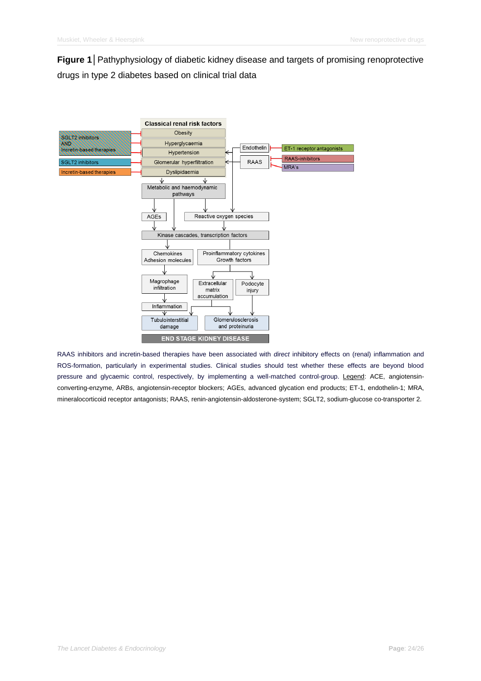**Figure 1**│Pathyphysiology of diabetic kidney disease and targets of promising renoprotective drugs in type 2 diabetes based on clinical trial data



RAAS inhibitors and incretin-based therapies have been associated with *direct* inhibitory effects on (renal) inflammation and ROS-formation, particularly in experimental studies. Clinical studies should test whether these effects are beyond blood pressure and glycaemic control, respectively, by implementing a well-matched control-group. Legend: ACE, angiotensinconverting-enzyme, ARBs, angiotensin-receptor blockers; AGEs, advanced glycation end products; ET-1, endothelin-1; MRA, mineralocorticoid receptor antagonists; RAAS, renin-angiotensin-aldosterone-system; SGLT2, sodium-glucose co-transporter 2.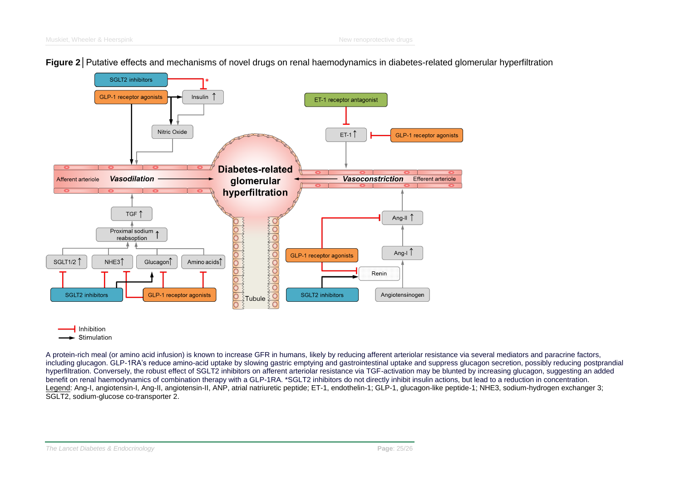

**Figure 2**│Putative effects and mechanisms of novel drugs on renal haemodynamics in diabetes-related glomerular hyperfiltration

 $\overline{\mathsf{I}}$  Inhibition Stimulation

A protein-rich meal (or amino acid infusion) is known to increase GFR in humans, likely by reducing afferent arteriolar resistance via several mediators and paracrine factors, including glucagon. GLP-1RA's reduce amino-acid uptake by slowing gastric emptying and gastrointestinal uptake and suppress glucagon secretion, possibly reducing postprandial hyperfiltration. Conversely, the robust effect of SGLT2 inhibitors on afferent arteriolar resistance via TGF-activation may be blunted by increasing glucagon, suggesting an added benefit on renal haemodynamics of combination therapy with a GLP-1RA. \*SGLT2 inhibitors do not directly inhibit insulin actions, but lead to a reduction in concentration. Legend: Ang-I, angiotensin-I, Ang-II, angiotensin-II, ANP, atrial natriuretic peptide; ET-1, endothelin-1; GLP-1, glucagon-like peptide-1; NHE3, sodium-hydrogen exchanger 3; SGLT2, sodium-glucose co-transporter 2.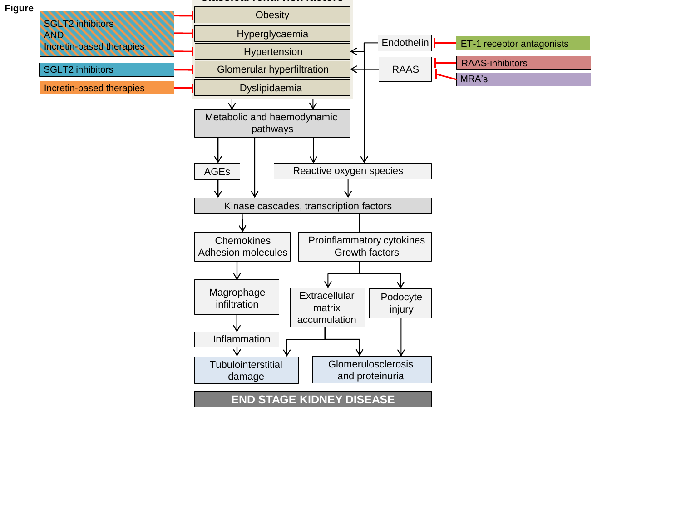